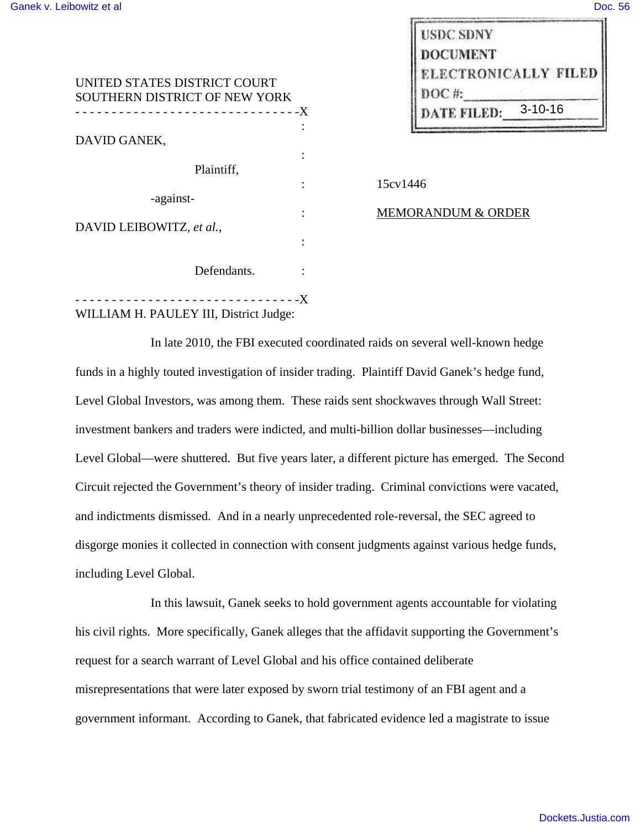| UNITED STATES DISTRICT COURT<br>SOUTHERN DISTRICT OF NEW YORK                                                                                           |               |
|---------------------------------------------------------------------------------------------------------------------------------------------------------|---------------|
|                                                                                                                                                         |               |
| DAVID GANEK,                                                                                                                                            |               |
|                                                                                                                                                         |               |
| Plaintiff,                                                                                                                                              |               |
|                                                                                                                                                         | 15cv1446      |
| -against-                                                                                                                                               |               |
| DAVID LEIBOWITZ, et al.,                                                                                                                                | <b>MEMORA</b> |
|                                                                                                                                                         |               |
| Defendants.                                                                                                                                             |               |
| ---------------------------X<br>$\mathbf{W}$ it is that if $\mathbf{W}$ is the $\mathbf{W}$ is the $\mathbf{W}$ is the $\mathbf{W}$ is the $\mathbf{W}$ |               |

| DATE FILED:          | $3 - 10 - 16$ |
|----------------------|---------------|
| $DOC$ #:             |               |
| ELECTRONICALLY FILED |               |
| <b>DOCUMENT</b>      |               |
| <b>USDC SDNY</b>     |               |
|                      |               |

| ۰                   |            |
|---------------------|------------|
| ٠<br>٠              | 15cv       |
| ٠<br>$\blacksquare$ | <b>MEN</b> |
|                     |            |

# : MEMORANDUM & ORDER

WILLIAM H. PAULEY III, District Judge:

In late 2010, the FBI executed coordinated raids on several well-known hedge funds in a highly touted investigation of insider trading. Plaintiff David Ganek's hedge fund, Level Global Investors, was among them. These raids sent shockwaves through Wall Street: investment bankers and traders were indicted, and multi-billion dollar businesses—including Level Global—were shuttered. But five years later, a different picture has emerged. The Second Circuit rejected the Government's theory of insider trading. Criminal convictions were vacated, and indictments dismissed. And in a nearly unprecedented role-reversal, the SEC agreed to disgorge monies it collected in connection with consent judgments against various hedge funds, including Level Global.

In this lawsuit, Ganek seeks to hold government agents accountable for violating his civil rights. More specifically, Ganek alleges that the affidavit supporting the Government's request for a search warrant of Level Global and his office contained deliberate misrepresentations that were later exposed by sworn trial testimony of an FBI agent and a government informant. According to Ganek, that fabricated evidence led a magistrate to issue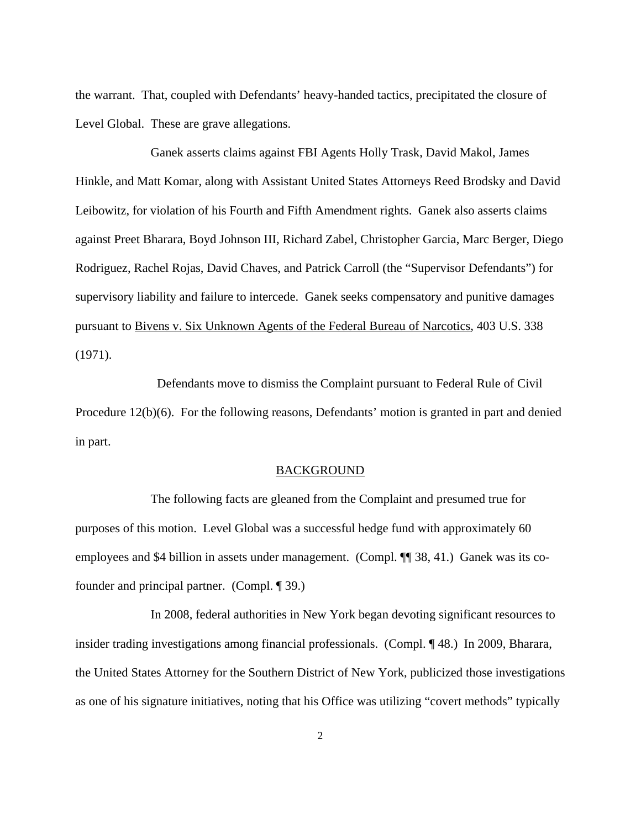the warrant. That, coupled with Defendants' heavy-handed tactics, precipitated the closure of Level Global. These are grave allegations.

Ganek asserts claims against FBI Agents Holly Trask, David Makol, James Hinkle, and Matt Komar, along with Assistant United States Attorneys Reed Brodsky and David Leibowitz, for violation of his Fourth and Fifth Amendment rights. Ganek also asserts claims against Preet Bharara, Boyd Johnson III, Richard Zabel, Christopher Garcia, Marc Berger, Diego Rodriguez, Rachel Rojas, David Chaves, and Patrick Carroll (the "Supervisor Defendants") for supervisory liability and failure to intercede. Ganek seeks compensatory and punitive damages pursuant to Bivens v. Six Unknown Agents of the Federal Bureau of Narcotics, 403 U.S. 338 (1971).

 Defendants move to dismiss the Complaint pursuant to Federal Rule of Civil Procedure 12(b)(6). For the following reasons, Defendants' motion is granted in part and denied in part.

#### BACKGROUND

 The following facts are gleaned from the Complaint and presumed true for purposes of this motion. Level Global was a successful hedge fund with approximately 60 employees and \$4 billion in assets under management. (Compl. ¶ 38, 41.) Ganek was its cofounder and principal partner. (Compl. ¶ 39.)

 In 2008, federal authorities in New York began devoting significant resources to insider trading investigations among financial professionals. (Compl. ¶48.) In 2009, Bharara, the United States Attorney for the Southern District of New York, publicized those investigations as one of his signature initiatives, noting that his Office was utilizing "covert methods" typically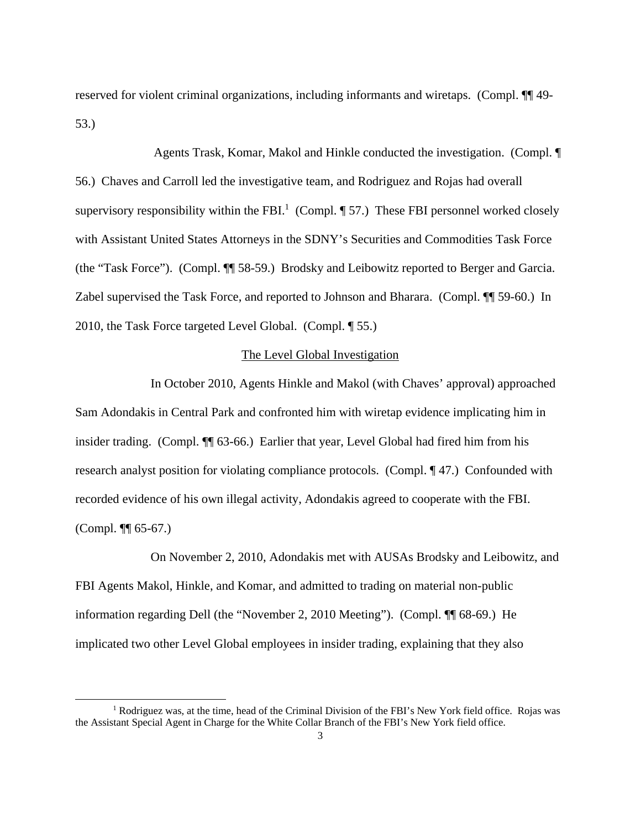reserved for violent criminal organizations, including informants and wiretaps. (Compl. ¶¶ 49- 53.)

 Agents Trask, Komar, Makol and Hinkle conducted the investigation. (Compl. ¶ 56.) Chaves and Carroll led the investigative team, and Rodriguez and Rojas had overall supervisory responsibility within the FBI.<sup>1</sup> (Compl.  $\P$  57.) These FBI personnel worked closely with Assistant United States Attorneys in the SDNY's Securities and Commodities Task Force (the "Task Force"). (Compl. ¶¶ 58-59.) Brodsky and Leibowitz reported to Berger and Garcia. Zabel supervised the Task Force, and reported to Johnson and Bharara. (Compl. ¶¶ 59-60.) In 2010, the Task Force targeted Level Global. (Compl. ¶ 55.)

# The Level Global Investigation

 In October 2010, Agents Hinkle and Makol (with Chaves' approval) approached Sam Adondakis in Central Park and confronted him with wiretap evidence implicating him in insider trading. (Compl. ¶¶ 63-66.) Earlier that year, Level Global had fired him from his research analyst position for violating compliance protocols. (Compl. ¶ 47.) Confounded with recorded evidence of his own illegal activity, Adondakis agreed to cooperate with the FBI. (Compl. ¶¶ 65-67.)

 On November 2, 2010, Adondakis met with AUSAs Brodsky and Leibowitz, and FBI Agents Makol, Hinkle, and Komar, and admitted to trading on material non-public information regarding Dell (the "November 2, 2010 Meeting"). (Compl. ¶¶ 68-69.) He implicated two other Level Global employees in insider trading, explaining that they also

-

<sup>&</sup>lt;sup>1</sup> Rodriguez was, at the time, head of the Criminal Division of the FBI's New York field office. Rojas was the Assistant Special Agent in Charge for the White Collar Branch of the FBI's New York field office.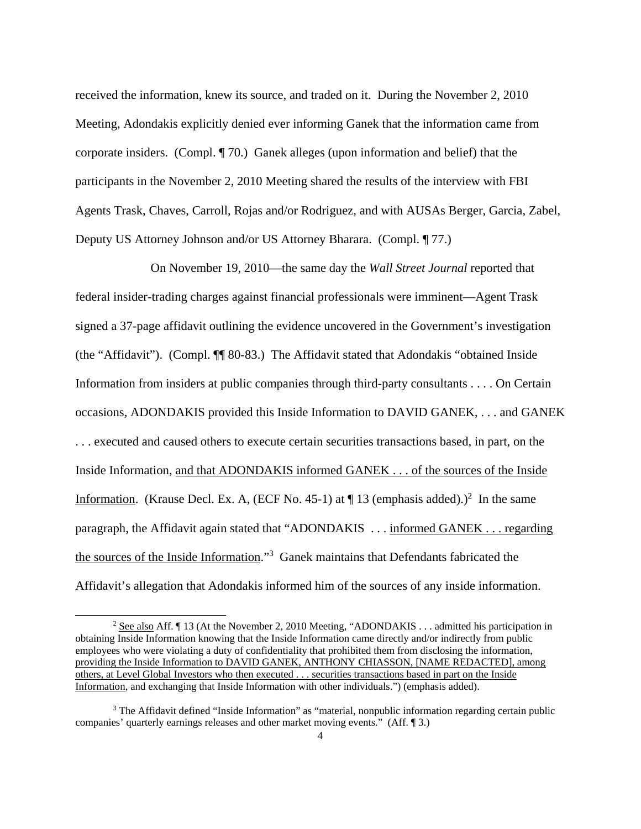received the information, knew its source, and traded on it. During the November 2, 2010 Meeting, Adondakis explicitly denied ever informing Ganek that the information came from corporate insiders. (Compl. ¶ 70.) Ganek alleges (upon information and belief) that the participants in the November 2, 2010 Meeting shared the results of the interview with FBI Agents Trask, Chaves, Carroll, Rojas and/or Rodriguez, and with AUSAs Berger, Garcia, Zabel, Deputy US Attorney Johnson and/or US Attorney Bharara. (Compl. ¶ 77.)

 On November 19, 2010—the same day the *Wall Street Journal* reported that federal insider-trading charges against financial professionals were imminent—Agent Trask signed a 37-page affidavit outlining the evidence uncovered in the Government's investigation (the "Affidavit"). (Compl. ¶¶ 80-83.) The Affidavit stated that Adondakis "obtained Inside Information from insiders at public companies through third-party consultants . . . . On Certain occasions, ADONDAKIS provided this Inside Information to DAVID GANEK, . . . and GANEK . . . executed and caused others to execute certain securities transactions based, in part, on the Inside Information, and that ADONDAKIS informed GANEK . . . of the sources of the Inside Information. (Krause Decl. Ex. A, (ECF No. 45-1) at  $\P$  13 (emphasis added).)<sup>2</sup> In the same paragraph, the Affidavit again stated that "ADONDAKIS . . . informed GANEK . . . regarding the sources of the Inside Information."<sup>3</sup> Ganek maintains that Defendants fabricated the Affidavit's allegation that Adondakis informed him of the sources of any inside information.

<sup>&</sup>lt;sup>2</sup> See also Aff.  $\P$  13 (At the November 2, 2010 Meeting, "ADONDAKIS . . . admitted his participation in obtaining Inside Information knowing that the Inside Information came directly and/or indirectly from public employees who were violating a duty of confidentiality that prohibited them from disclosing the information, providing the Inside Information to DAVID GANEK, ANTHONY CHIASSON, [NAME REDACTED], among others, at Level Global Investors who then executed . . . securities transactions based in part on the Inside Information, and exchanging that Inside Information with other individuals.") (emphasis added).

<sup>&</sup>lt;sup>3</sup> The Affidavit defined "Inside Information" as "material, nonpublic information regarding certain public companies' quarterly earnings releases and other market moving events." (Aff. ¶ 3.)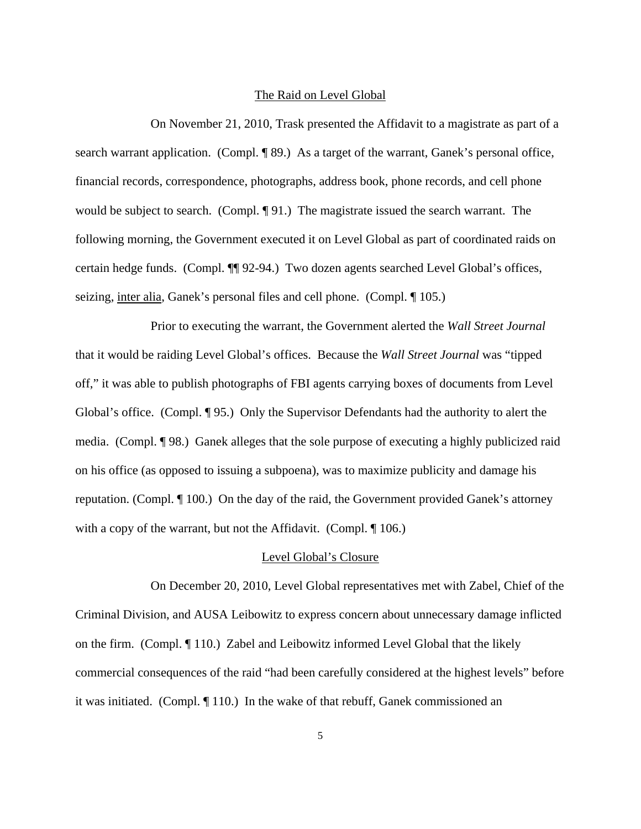### The Raid on Level Global

 On November 21, 2010, Trask presented the Affidavit to a magistrate as part of a search warrant application. (Compl. ¶ 89.) As a target of the warrant, Ganek's personal office, financial records, correspondence, photographs, address book, phone records, and cell phone would be subject to search. (Compl. ¶ 91.) The magistrate issued the search warrant. The following morning, the Government executed it on Level Global as part of coordinated raids on certain hedge funds. (Compl. ¶¶ 92-94.) Two dozen agents searched Level Global's offices, seizing, inter alia, Ganek's personal files and cell phone. (Compl. ¶ 105.)

 Prior to executing the warrant, the Government alerted the *Wall Street Journal* that it would be raiding Level Global's offices. Because the *Wall Street Journal* was "tipped off," it was able to publish photographs of FBI agents carrying boxes of documents from Level Global's office. (Compl. ¶ 95.) Only the Supervisor Defendants had the authority to alert the media. (Compl. ¶ 98.) Ganek alleges that the sole purpose of executing a highly publicized raid on his office (as opposed to issuing a subpoena), was to maximize publicity and damage his reputation. (Compl. ¶ 100.) On the day of the raid, the Government provided Ganek's attorney with a copy of the warrant, but not the Affidavit. (Compl. ¶ 106.)

### Level Global's Closure

 On December 20, 2010, Level Global representatives met with Zabel, Chief of the Criminal Division, and AUSA Leibowitz to express concern about unnecessary damage inflicted on the firm. (Compl. ¶ 110.) Zabel and Leibowitz informed Level Global that the likely commercial consequences of the raid "had been carefully considered at the highest levels" before it was initiated. (Compl. ¶ 110.) In the wake of that rebuff, Ganek commissioned an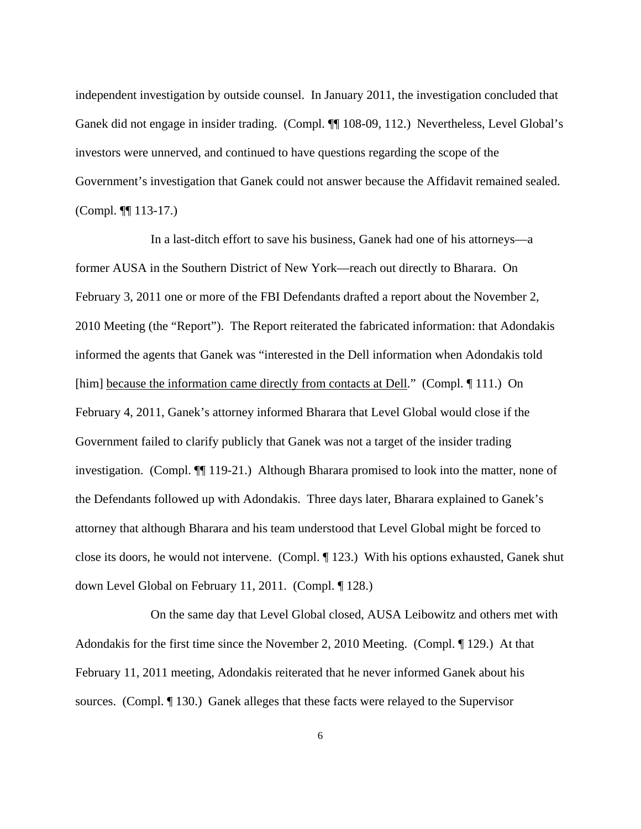independent investigation by outside counsel. In January 2011, the investigation concluded that Ganek did not engage in insider trading. (Compl. ¶¶ 108-09, 112.) Nevertheless, Level Global's investors were unnerved, and continued to have questions regarding the scope of the Government's investigation that Ganek could not answer because the Affidavit remained sealed. (Compl. ¶¶ 113-17.)

In a last-ditch effort to save his business, Ganek had one of his attorneys—a former AUSA in the Southern District of New York—reach out directly to Bharara. On February 3, 2011 one or more of the FBI Defendants drafted a report about the November 2, 2010 Meeting (the "Report"). The Report reiterated the fabricated information: that Adondakis informed the agents that Ganek was "interested in the Dell information when Adondakis told [him] because the information came directly from contacts at Dell." (Compl. 111.) On February 4, 2011, Ganek's attorney informed Bharara that Level Global would close if the Government failed to clarify publicly that Ganek was not a target of the insider trading investigation. (Compl. ¶¶ 119-21.) Although Bharara promised to look into the matter, none of the Defendants followed up with Adondakis. Three days later, Bharara explained to Ganek's attorney that although Bharara and his team understood that Level Global might be forced to close its doors, he would not intervene. (Compl. ¶ 123.) With his options exhausted, Ganek shut down Level Global on February 11, 2011. (Compl. ¶ 128.)

 On the same day that Level Global closed, AUSA Leibowitz and others met with Adondakis for the first time since the November 2, 2010 Meeting. (Compl. ¶ 129.) At that February 11, 2011 meeting, Adondakis reiterated that he never informed Ganek about his sources. (Compl. ¶ 130.) Ganek alleges that these facts were relayed to the Supervisor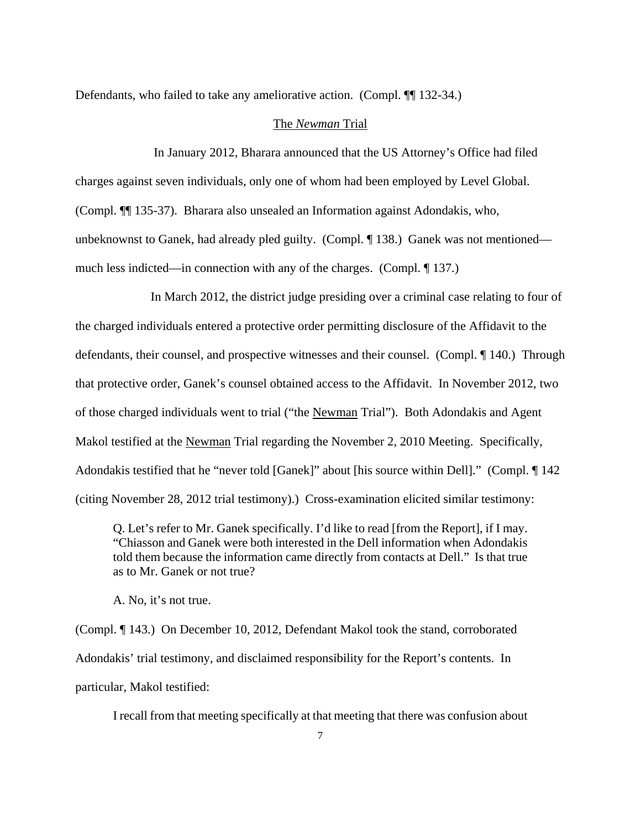Defendants, who failed to take any ameliorative action. (Compl. ¶ 132-34.)

### The *Newman* Trial

 In January 2012, Bharara announced that the US Attorney's Office had filed charges against seven individuals, only one of whom had been employed by Level Global. (Compl. ¶¶ 135-37). Bharara also unsealed an Information against Adondakis, who, unbeknownst to Ganek, had already pled guilty. (Compl. ¶ 138.) Ganek was not mentioned much less indicted—in connection with any of the charges. (Compl. ¶ 137.)

 In March 2012, the district judge presiding over a criminal case relating to four of the charged individuals entered a protective order permitting disclosure of the Affidavit to the defendants, their counsel, and prospective witnesses and their counsel. (Compl. ¶ 140.) Through that protective order, Ganek's counsel obtained access to the Affidavit. In November 2012, two of those charged individuals went to trial ("the Newman Trial"). Both Adondakis and Agent Makol testified at the Newman Trial regarding the November 2, 2010 Meeting. Specifically, Adondakis testified that he "never told [Ganek]" about [his source within Dell]." (Compl. ¶ 142 (citing November 28, 2012 trial testimony).) Cross-examination elicited similar testimony:

Q. Let's refer to Mr. Ganek specifically. I'd like to read [from the Report], if I may. "Chiasson and Ganek were both interested in the Dell information when Adondakis told them because the information came directly from contacts at Dell." Is that true as to Mr. Ganek or not true?

A. No, it's not true.

(Compl. ¶ 143.) On December 10, 2012, Defendant Makol took the stand, corroborated Adondakis' trial testimony, and disclaimed responsibility for the Report's contents. In particular, Makol testified:

I recall from that meeting specifically at that meeting that there was confusion about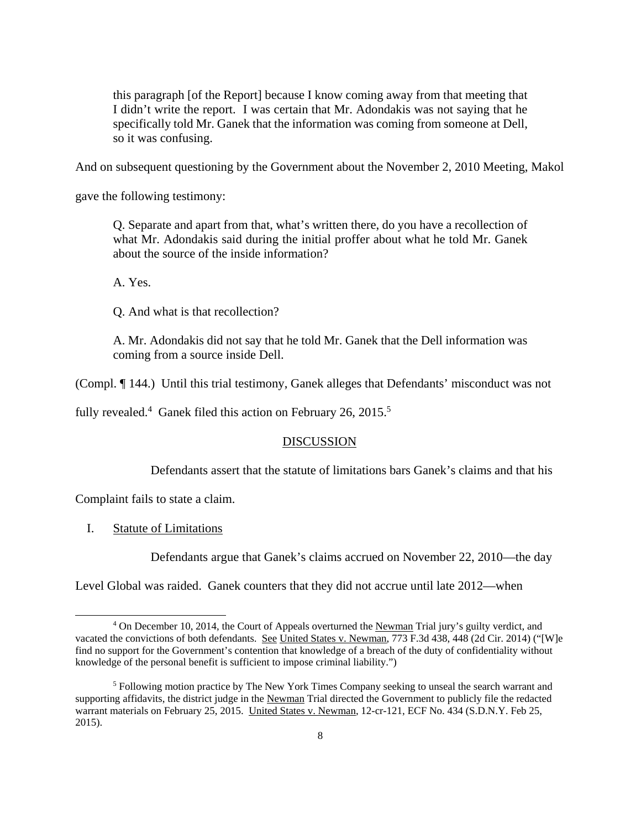this paragraph [of the Report] because I know coming away from that meeting that I didn't write the report. I was certain that Mr. Adondakis was not saying that he specifically told Mr. Ganek that the information was coming from someone at Dell, so it was confusing.

And on subsequent questioning by the Government about the November 2, 2010 Meeting, Makol

gave the following testimony:

Q. Separate and apart from that, what's written there, do you have a recollection of what Mr. Adondakis said during the initial proffer about what he told Mr. Ganek about the source of the inside information?

A. Yes.

Q. And what is that recollection?

A. Mr. Adondakis did not say that he told Mr. Ganek that the Dell information was coming from a source inside Dell.

(Compl. ¶ 144.) Until this trial testimony, Ganek alleges that Defendants' misconduct was not

fully revealed.<sup>4</sup> Ganek filed this action on February 26, 2015.<sup>5</sup>

# DISCUSSION

Defendants assert that the statute of limitations bars Ganek's claims and that his

Complaint fails to state a claim.

I. Statute of Limitations

 $\overline{a}$ 

Defendants argue that Ganek's claims accrued on November 22, 2010—the day

Level Global was raided. Ganek counters that they did not accrue until late 2012—when

<sup>&</sup>lt;sup>4</sup> On December 10, 2014, the Court of Appeals overturned the Newman Trial jury's guilty verdict, and vacated the convictions of both defendants. See United States v. Newman, 773 F.3d 438, 448 (2d Cir. 2014) ("[W]e find no support for the Government's contention that knowledge of a breach of the duty of confidentiality without knowledge of the personal benefit is sufficient to impose criminal liability.")

<sup>&</sup>lt;sup>5</sup> Following motion practice by The New York Times Company seeking to unseal the search warrant and supporting affidavits, the district judge in the Newman Trial directed the Government to publicly file the redacted warrant materials on February 25, 2015. United States v. Newman, 12-cr-121, ECF No. 434 (S.D.N.Y. Feb 25, 2015).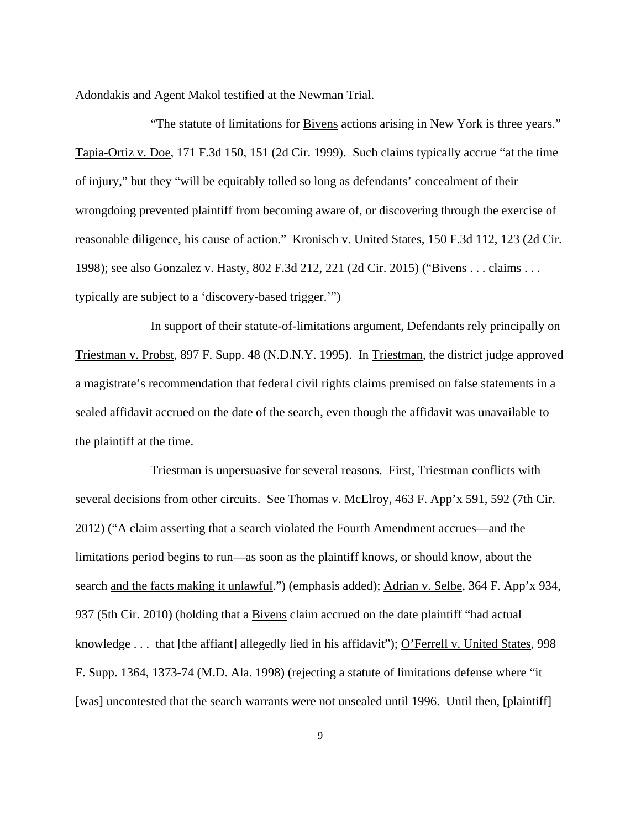Adondakis and Agent Makol testified at the Newman Trial.

 "The statute of limitations for Bivens actions arising in New York is three years." Tapia-Ortiz v. Doe, 171 F.3d 150, 151 (2d Cir. 1999). Such claims typically accrue "at the time of injury," but they "will be equitably tolled so long as defendants' concealment of their wrongdoing prevented plaintiff from becoming aware of, or discovering through the exercise of reasonable diligence, his cause of action." Kronisch v. United States, 150 F.3d 112, 123 (2d Cir. 1998); see also Gonzalez v. Hasty, 802 F.3d 212, 221 (2d Cir. 2015) ("Bivens . . . claims . . . typically are subject to a 'discovery-based trigger.'")

In support of their statute-of-limitations argument, Defendants rely principally on Triestman v. Probst, 897 F. Supp. 48 (N.D.N.Y. 1995). In Triestman, the district judge approved a magistrate's recommendation that federal civil rights claims premised on false statements in a sealed affidavit accrued on the date of the search, even though the affidavit was unavailable to the plaintiff at the time.

Triestman is unpersuasive for several reasons. First, Triestman conflicts with several decisions from other circuits. See Thomas v. McElroy, 463 F. App'x 591, 592 (7th Cir. 2012) ("A claim asserting that a search violated the Fourth Amendment accrues—and the limitations period begins to run—as soon as the plaintiff knows, or should know, about the search and the facts making it unlawful.") (emphasis added); Adrian v. Selbe, 364 F. App'x 934, 937 (5th Cir. 2010) (holding that a Bivens claim accrued on the date plaintiff "had actual knowledge . . . that [the affiant] allegedly lied in his affidavit"); O'Ferrell v. United States, 998 F. Supp. 1364, 1373-74 (M.D. Ala. 1998) (rejecting a statute of limitations defense where "it [was] uncontested that the search warrants were not unsealed until 1996. Until then, [plaintiff]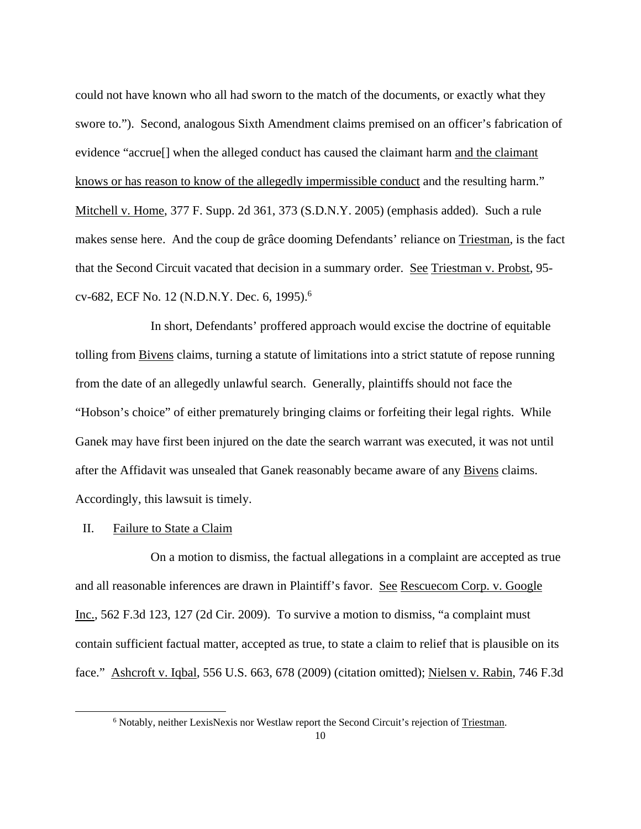could not have known who all had sworn to the match of the documents, or exactly what they swore to."). Second, analogous Sixth Amendment claims premised on an officer's fabrication of evidence "accrue[] when the alleged conduct has caused the claimant harm and the claimant knows or has reason to know of the allegedly impermissible conduct and the resulting harm." Mitchell v. Home, 377 F. Supp. 2d 361, 373 (S.D.N.Y. 2005) (emphasis added). Such a rule makes sense here. And the coup de grâce dooming Defendants' reliance on Triestman, is the fact that the Second Circuit vacated that decision in a summary order. See Triestman v. Probst, 95 cv-682, ECF No. 12 (N.D.N.Y. Dec. 6, 1995).<sup>6</sup>

In short, Defendants' proffered approach would excise the doctrine of equitable tolling from Bivens claims, turning a statute of limitations into a strict statute of repose running from the date of an allegedly unlawful search. Generally, plaintiffs should not face the "Hobson's choice" of either prematurely bringing claims or forfeiting their legal rights. While Ganek may have first been injured on the date the search warrant was executed, it was not until after the Affidavit was unsealed that Ganek reasonably became aware of any Bivens claims. Accordingly, this lawsuit is timely.

#### II. Failure to State a Claim

 $\overline{a}$ 

 On a motion to dismiss, the factual allegations in a complaint are accepted as true and all reasonable inferences are drawn in Plaintiff's favor. See Rescuecom Corp. v. Google Inc., 562 F.3d 123, 127 (2d Cir. 2009). To survive a motion to dismiss, "a complaint must contain sufficient factual matter, accepted as true, to state a claim to relief that is plausible on its face." Ashcroft v. Iqbal, 556 U.S. 663, 678 (2009) (citation omitted); Nielsen v. Rabin, 746 F.3d

<sup>&</sup>lt;sup>6</sup> Notably, neither LexisNexis nor Westlaw report the Second Circuit's rejection of Triestman.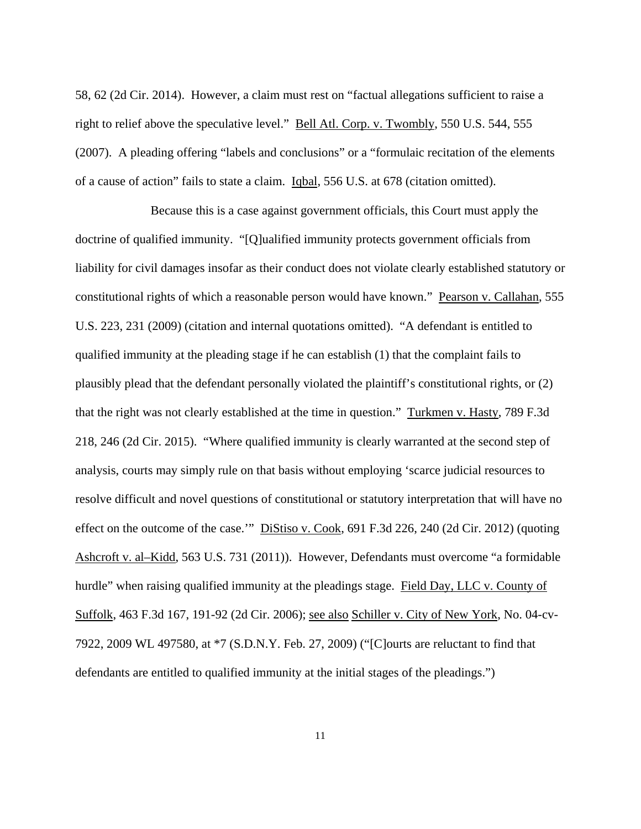58, 62 (2d Cir. 2014). However, a claim must rest on "factual allegations sufficient to raise a right to relief above the speculative level." Bell Atl. Corp. v. Twombly, 550 U.S. 544, 555 (2007). A pleading offering "labels and conclusions" or a "formulaic recitation of the elements of a cause of action" fails to state a claim. Iqbal, 556 U.S. at 678 (citation omitted).

 Because this is a case against government officials, this Court must apply the doctrine of qualified immunity. "[Q]ualified immunity protects government officials from liability for civil damages insofar as their conduct does not violate clearly established statutory or constitutional rights of which a reasonable person would have known." Pearson v. Callahan, 555 U.S. 223, 231 (2009) (citation and internal quotations omitted). "A defendant is entitled to qualified immunity at the pleading stage if he can establish (1) that the complaint fails to plausibly plead that the defendant personally violated the plaintiff's constitutional rights, or (2) that the right was not clearly established at the time in question." Turkmen v. Hasty, 789 F.3d 218, 246 (2d Cir. 2015). "Where qualified immunity is clearly warranted at the second step of analysis, courts may simply rule on that basis without employing 'scarce judicial resources to resolve difficult and novel questions of constitutional or statutory interpretation that will have no effect on the outcome of the case.'" Distiso v. Cook, 691 F.3d 226, 240 (2d Cir. 2012) (quoting Ashcroft v. al–Kidd, 563 U.S. 731 (2011)). However, Defendants must overcome "a formidable hurdle" when raising qualified immunity at the pleadings stage. Field Day, LLC v. County of Suffolk, 463 F.3d 167, 191-92 (2d Cir. 2006); see also Schiller v. City of New York, No. 04-cv-7922, 2009 WL 497580, at \*7 (S.D.N.Y. Feb. 27, 2009) ("[C]ourts are reluctant to find that defendants are entitled to qualified immunity at the initial stages of the pleadings.")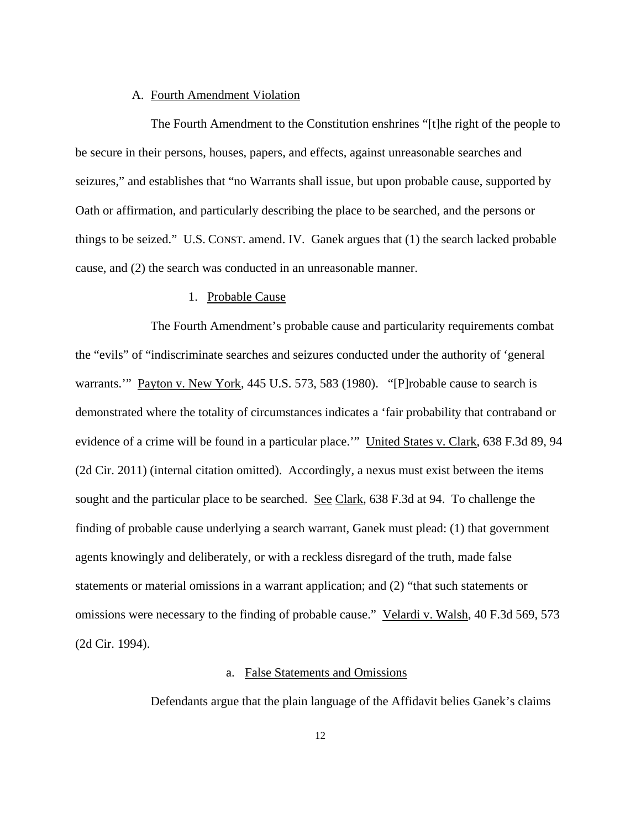# A. Fourth Amendment Violation

 The Fourth Amendment to the Constitution enshrines "[t]he right of the people to be secure in their persons, houses, papers, and effects, against unreasonable searches and seizures," and establishes that "no Warrants shall issue, but upon probable cause, supported by Oath or affirmation, and particularly describing the place to be searched, and the persons or things to be seized." U.S. CONST. amend. IV. Ganek argues that (1) the search lacked probable cause, and (2) the search was conducted in an unreasonable manner.

# 1. Probable Cause

 The Fourth Amendment's probable cause and particularity requirements combat the "evils" of "indiscriminate searches and seizures conducted under the authority of 'general warrants." Payton v. New York, 445 U.S. 573, 583 (1980). "[P]robable cause to search is demonstrated where the totality of circumstances indicates a 'fair probability that contraband or evidence of a crime will be found in a particular place.'" United States v. Clark, 638 F.3d 89, 94 (2d Cir. 2011) (internal citation omitted). Accordingly, a nexus must exist between the items sought and the particular place to be searched. See Clark, 638 F.3d at 94. To challenge the finding of probable cause underlying a search warrant, Ganek must plead: (1) that government agents knowingly and deliberately, or with a reckless disregard of the truth, made false statements or material omissions in a warrant application; and (2) "that such statements or omissions were necessary to the finding of probable cause." Velardi v. Walsh, 40 F.3d 569, 573 (2d Cir. 1994).

# a. False Statements and Omissions

Defendants argue that the plain language of the Affidavit belies Ganek's claims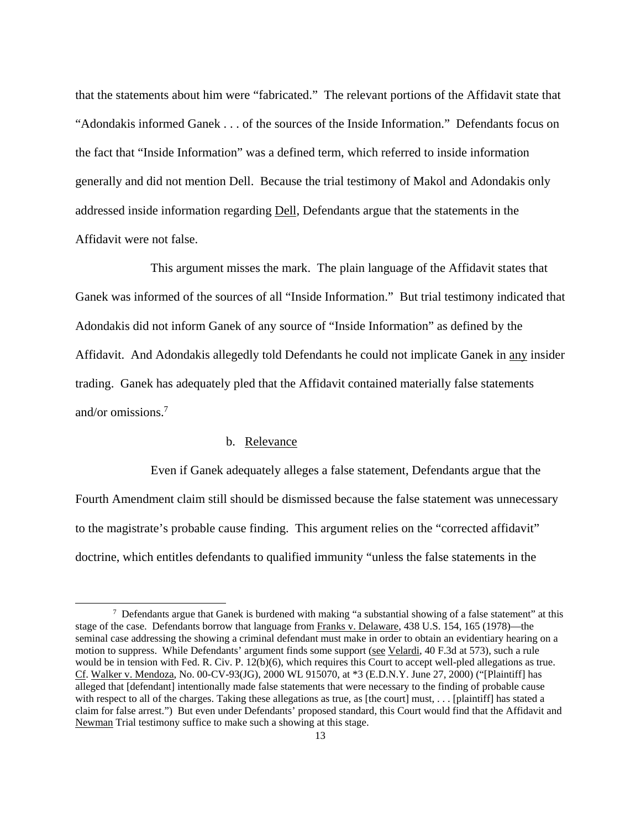that the statements about him were "fabricated." The relevant portions of the Affidavit state that "Adondakis informed Ganek . . . of the sources of the Inside Information." Defendants focus on the fact that "Inside Information" was a defined term, which referred to inside information generally and did not mention Dell. Because the trial testimony of Makol and Adondakis only addressed inside information regarding Dell, Defendants argue that the statements in the Affidavit were not false.

 This argument misses the mark. The plain language of the Affidavit states that Ganek was informed of the sources of all "Inside Information." But trial testimony indicated that Adondakis did not inform Ganek of any source of "Inside Information" as defined by the Affidavit. And Adondakis allegedly told Defendants he could not implicate Ganek in any insider trading. Ganek has adequately pled that the Affidavit contained materially false statements and/or omissions.<sup>7</sup>

### b. Relevance

 $\overline{a}$ 

 Even if Ganek adequately alleges a false statement, Defendants argue that the Fourth Amendment claim still should be dismissed because the false statement was unnecessary to the magistrate's probable cause finding. This argument relies on the "corrected affidavit" doctrine, which entitles defendants to qualified immunity "unless the false statements in the

 $\frac{7}{1}$  Defendants argue that Ganek is burdened with making "a substantial showing of a false statement" at this stage of the case. Defendants borrow that language from Franks v. Delaware, 438 U.S. 154, 165 (1978)—the seminal case addressing the showing a criminal defendant must make in order to obtain an evidentiary hearing on a motion to suppress. While Defendants' argument finds some support (see Velardi, 40 F.3d at 573), such a rule would be in tension with Fed. R. Civ. P. 12(b)(6), which requires this Court to accept well-pled allegations as true. Cf. Walker v. Mendoza, No. 00-CV-93(JG), 2000 WL 915070, at \*3 (E.D.N.Y. June 27, 2000) ("[Plaintiff] has alleged that [defendant] intentionally made false statements that were necessary to the finding of probable cause with respect to all of the charges. Taking these allegations as true, as [the court] must, . . . [plaintiff] has stated a claim for false arrest.") But even under Defendants' proposed standard, this Court would find that the Affidavit and Newman Trial testimony suffice to make such a showing at this stage.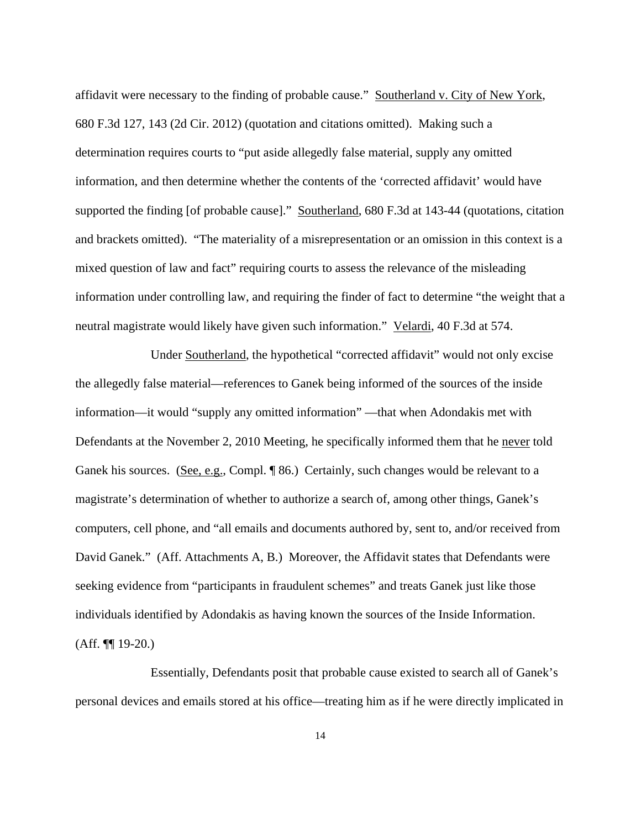affidavit were necessary to the finding of probable cause." Southerland v. City of New York, 680 F.3d 127, 143 (2d Cir. 2012) (quotation and citations omitted). Making such a determination requires courts to "put aside allegedly false material, supply any omitted information, and then determine whether the contents of the 'corrected affidavit' would have supported the finding [of probable cause]." Southerland, 680 F.3d at 143-44 (quotations, citation and brackets omitted). "The materiality of a misrepresentation or an omission in this context is a mixed question of law and fact" requiring courts to assess the relevance of the misleading information under controlling law, and requiring the finder of fact to determine "the weight that a neutral magistrate would likely have given such information." Velardi, 40 F.3d at 574.

 Under Southerland, the hypothetical "corrected affidavit" would not only excise the allegedly false material—references to Ganek being informed of the sources of the inside information—it would "supply any omitted information" —that when Adondakis met with Defendants at the November 2, 2010 Meeting, he specifically informed them that he never told Ganek his sources. (See, e.g., Compl. ¶ 86.) Certainly, such changes would be relevant to a magistrate's determination of whether to authorize a search of, among other things, Ganek's computers, cell phone, and "all emails and documents authored by, sent to, and/or received from David Ganek." (Aff. Attachments A, B.) Moreover, the Affidavit states that Defendants were seeking evidence from "participants in fraudulent schemes" and treats Ganek just like those individuals identified by Adondakis as having known the sources of the Inside Information. (Aff. ¶¶ 19-20.)

 Essentially, Defendants posit that probable cause existed to search all of Ganek's personal devices and emails stored at his office—treating him as if he were directly implicated in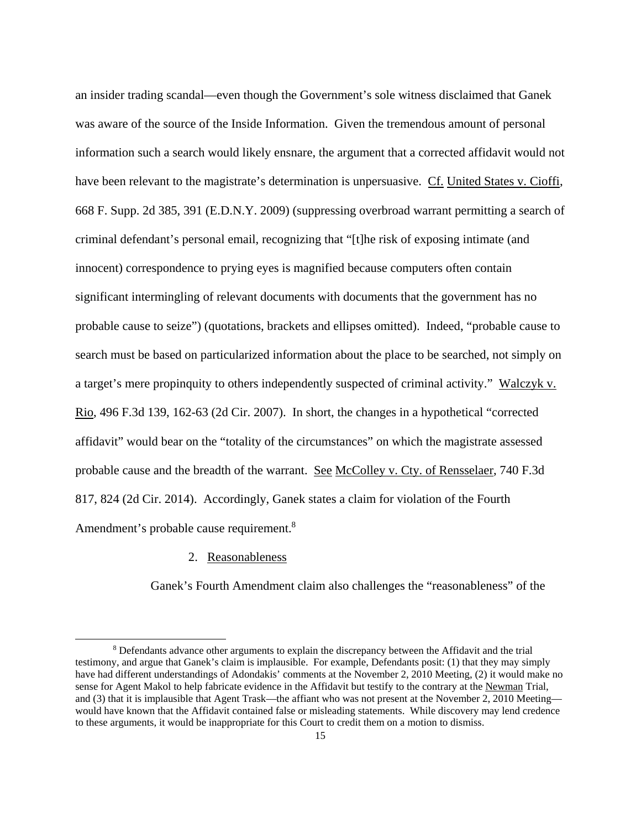an insider trading scandal—even though the Government's sole witness disclaimed that Ganek was aware of the source of the Inside Information. Given the tremendous amount of personal information such a search would likely ensnare, the argument that a corrected affidavit would not have been relevant to the magistrate's determination is unpersuasive. Cf. United States v. Cioffi, 668 F. Supp. 2d 385, 391 (E.D.N.Y. 2009) (suppressing overbroad warrant permitting a search of criminal defendant's personal email, recognizing that "[t]he risk of exposing intimate (and innocent) correspondence to prying eyes is magnified because computers often contain significant intermingling of relevant documents with documents that the government has no probable cause to seize") (quotations, brackets and ellipses omitted). Indeed, "probable cause to search must be based on particularized information about the place to be searched, not simply on a target's mere propinquity to others independently suspected of criminal activity." Walczyk v. Rio, 496 F.3d 139, 162-63 (2d Cir. 2007). In short, the changes in a hypothetical "corrected affidavit" would bear on the "totality of the circumstances" on which the magistrate assessed probable cause and the breadth of the warrant. See McColley v. Cty. of Rensselaer, 740 F.3d 817, 824 (2d Cir. 2014). Accordingly, Ganek states a claim for violation of the Fourth Amendment's probable cause requirement.<sup>8</sup>

# 2. Reasonableness

-

Ganek's Fourth Amendment claim also challenges the "reasonableness" of the

<sup>&</sup>lt;sup>8</sup> Defendants advance other arguments to explain the discrepancy between the Affidavit and the trial testimony, and argue that Ganek's claim is implausible. For example, Defendants posit: (1) that they may simply have had different understandings of Adondakis' comments at the November 2, 2010 Meeting, (2) it would make no sense for Agent Makol to help fabricate evidence in the Affidavit but testify to the contrary at the Newman Trial, and (3) that it is implausible that Agent Trask—the affiant who was not present at the November 2, 2010 Meeting would have known that the Affidavit contained false or misleading statements. While discovery may lend credence to these arguments, it would be inappropriate for this Court to credit them on a motion to dismiss.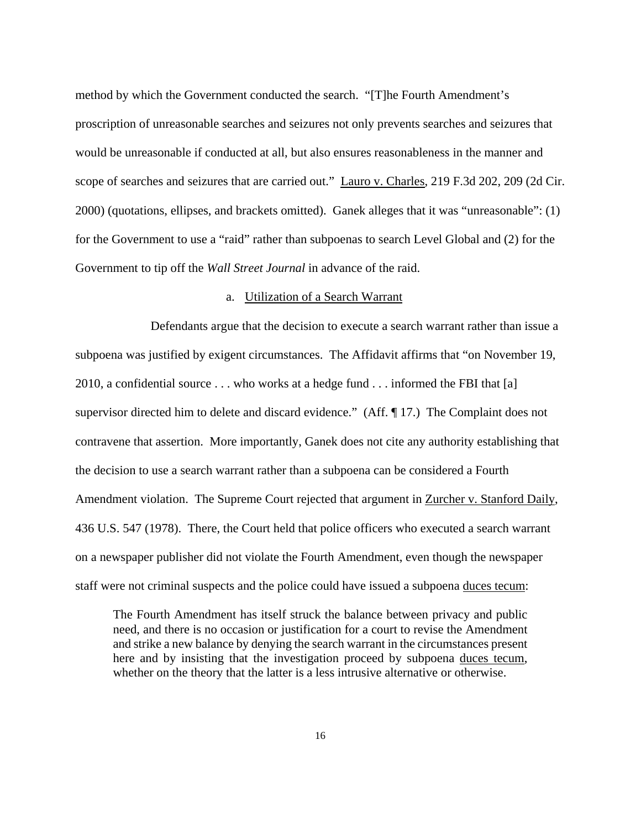method by which the Government conducted the search. "[T]he Fourth Amendment's proscription of unreasonable searches and seizures not only prevents searches and seizures that would be unreasonable if conducted at all, but also ensures reasonableness in the manner and scope of searches and seizures that are carried out." Lauro v. Charles, 219 F.3d 202, 209 (2d Cir. 2000) (quotations, ellipses, and brackets omitted). Ganek alleges that it was "unreasonable": (1) for the Government to use a "raid" rather than subpoenas to search Level Global and (2) for the Government to tip off the *Wall Street Journal* in advance of the raid.

### a. Utilization of a Search Warrant

 Defendants argue that the decision to execute a search warrant rather than issue a subpoena was justified by exigent circumstances. The Affidavit affirms that "on November 19, 2010, a confidential source . . . who works at a hedge fund . . . informed the FBI that [a] supervisor directed him to delete and discard evidence." (Aff. ¶ 17.) The Complaint does not contravene that assertion. More importantly, Ganek does not cite any authority establishing that the decision to use a search warrant rather than a subpoena can be considered a Fourth Amendment violation. The Supreme Court rejected that argument in Zurcher v. Stanford Daily, 436 U.S. 547 (1978). There, the Court held that police officers who executed a search warrant on a newspaper publisher did not violate the Fourth Amendment, even though the newspaper staff were not criminal suspects and the police could have issued a subpoena duces tecum:

The Fourth Amendment has itself struck the balance between privacy and public need, and there is no occasion or justification for a court to revise the Amendment and strike a new balance by denying the search warrant in the circumstances present here and by insisting that the investigation proceed by subpoena duces tecum, whether on the theory that the latter is a less intrusive alternative or otherwise.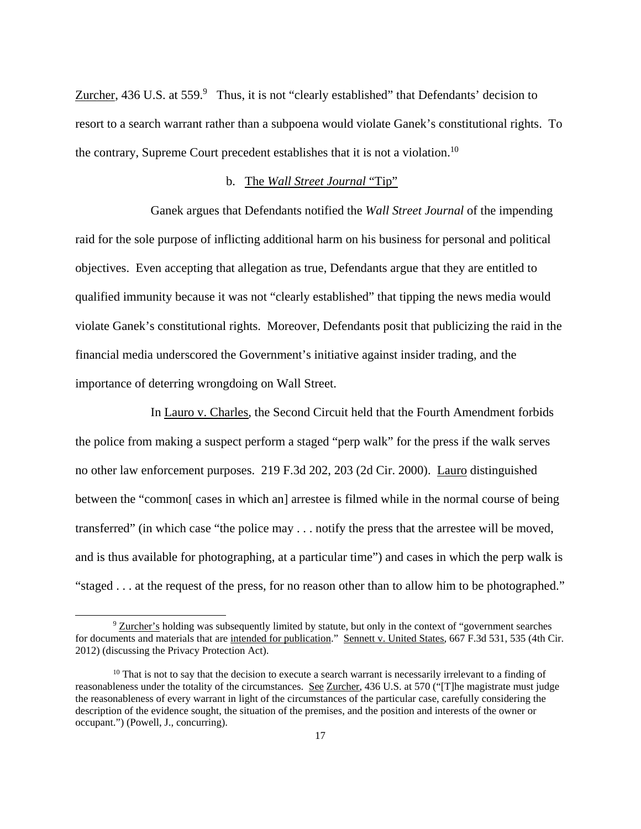Zurcher, 436 U.S. at  $559.9$  Thus, it is not "clearly established" that Defendants' decision to resort to a search warrant rather than a subpoena would violate Ganek's constitutional rights. To the contrary, Supreme Court precedent establishes that it is not a violation.<sup>10</sup>

# b. The *Wall Street Journal* "Tip"

 Ganek argues that Defendants notified the *Wall Street Journal* of the impending raid for the sole purpose of inflicting additional harm on his business for personal and political objectives. Even accepting that allegation as true, Defendants argue that they are entitled to qualified immunity because it was not "clearly established" that tipping the news media would violate Ganek's constitutional rights. Moreover, Defendants posit that publicizing the raid in the financial media underscored the Government's initiative against insider trading, and the importance of deterring wrongdoing on Wall Street.

 In Lauro v. Charles, the Second Circuit held that the Fourth Amendment forbids the police from making a suspect perform a staged "perp walk" for the press if the walk serves no other law enforcement purposes. 219 F.3d 202, 203 (2d Cir. 2000). Lauro distinguished between the "common[ cases in which an] arrestee is filmed while in the normal course of being transferred" (in which case "the police may . . . notify the press that the arrestee will be moved, and is thus available for photographing, at a particular time") and cases in which the perp walk is "staged . . . at the request of the press, for no reason other than to allow him to be photographed."

 $9$  Zurcher's holding was subsequently limited by statute, but only in the context of "government searches" for documents and materials that are intended for publication." Sennett v. United States, 667 F.3d 531, 535 (4th Cir. 2012) (discussing the Privacy Protection Act).

<sup>&</sup>lt;sup>10</sup> That is not to say that the decision to execute a search warrant is necessarily irrelevant to a finding of reasonableness under the totality of the circumstances. See Zurcher, 436 U.S. at 570 ("[T]he magistrate must judge the reasonableness of every warrant in light of the circumstances of the particular case, carefully considering the description of the evidence sought, the situation of the premises, and the position and interests of the owner or occupant.") (Powell, J., concurring).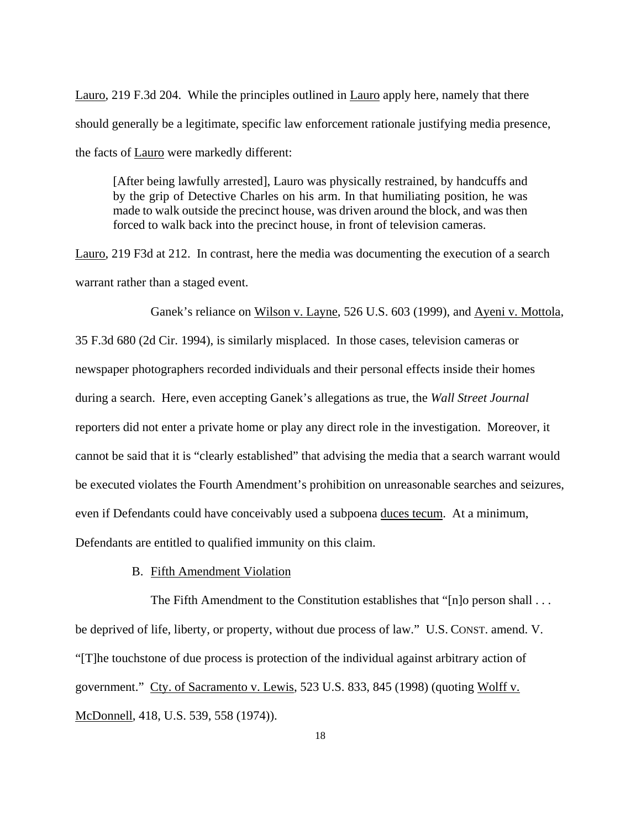Lauro, 219 F.3d 204. While the principles outlined in Lauro apply here, namely that there should generally be a legitimate, specific law enforcement rationale justifying media presence, the facts of Lauro were markedly different:

[After being lawfully arrested], Lauro was physically restrained, by handcuffs and by the grip of Detective Charles on his arm. In that humiliating position, he was made to walk outside the precinct house, was driven around the block, and was then forced to walk back into the precinct house, in front of television cameras.

Lauro, 219 F3d at 212. In contrast, here the media was documenting the execution of a search warrant rather than a staged event.

 Ganek's reliance on Wilson v. Layne, 526 U.S. 603 (1999), and Ayeni v. Mottola, 35 F.3d 680 (2d Cir. 1994), is similarly misplaced. In those cases, television cameras or newspaper photographers recorded individuals and their personal effects inside their homes during a search. Here, even accepting Ganek's allegations as true, the *Wall Street Journal* reporters did not enter a private home or play any direct role in the investigation. Moreover, it cannot be said that it is "clearly established" that advising the media that a search warrant would be executed violates the Fourth Amendment's prohibition on unreasonable searches and seizures, even if Defendants could have conceivably used a subpoena duces tecum. At a minimum, Defendants are entitled to qualified immunity on this claim.

B. Fifth Amendment Violation

The Fifth Amendment to the Constitution establishes that "[n]o person shall . . . be deprived of life, liberty, or property, without due process of law." U.S. CONST. amend. V. "[T]he touchstone of due process is protection of the individual against arbitrary action of government." Cty. of Sacramento v. Lewis, 523 U.S. 833, 845 (1998) (quoting Wolff v. McDonnell, 418, U.S. 539, 558 (1974)).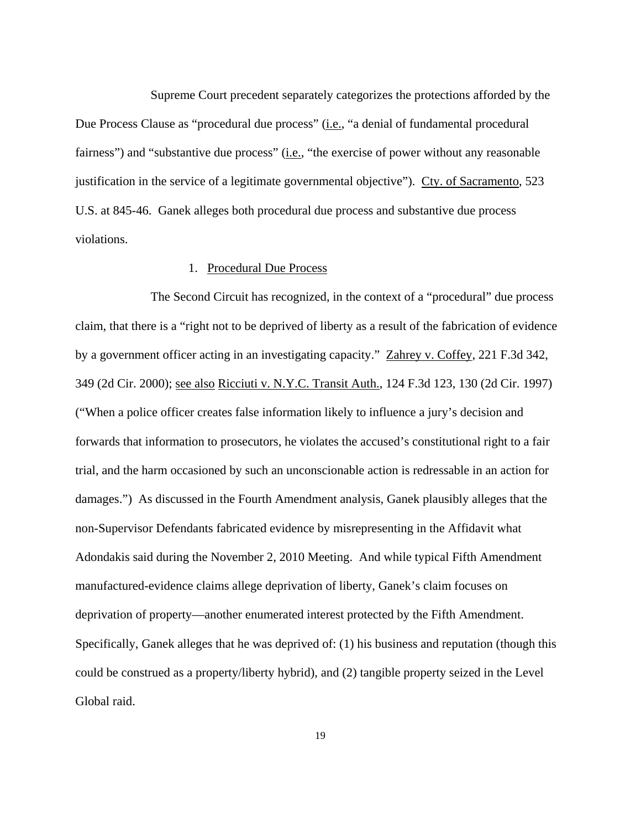Supreme Court precedent separately categorizes the protections afforded by the Due Process Clause as "procedural due process" (*i.e.*, "a denial of fundamental procedural fairness") and "substantive due process" (i.e., "the exercise of power without any reasonable justification in the service of a legitimate governmental objective"). Cty. of Sacramento, 523 U.S. at 845-46. Ganek alleges both procedural due process and substantive due process violations.

# 1. Procedural Due Process

 The Second Circuit has recognized, in the context of a "procedural" due process claim, that there is a "right not to be deprived of liberty as a result of the fabrication of evidence by a government officer acting in an investigating capacity." Zahrey v. Coffey, 221 F.3d 342, 349 (2d Cir. 2000); see also Ricciuti v. N.Y.C. Transit Auth., 124 F.3d 123, 130 (2d Cir. 1997) ("When a police officer creates false information likely to influence a jury's decision and forwards that information to prosecutors, he violates the accused's constitutional right to a fair trial, and the harm occasioned by such an unconscionable action is redressable in an action for damages.") As discussed in the Fourth Amendment analysis, Ganek plausibly alleges that the non-Supervisor Defendants fabricated evidence by misrepresenting in the Affidavit what Adondakis said during the November 2, 2010 Meeting. And while typical Fifth Amendment manufactured-evidence claims allege deprivation of liberty, Ganek's claim focuses on deprivation of property—another enumerated interest protected by the Fifth Amendment. Specifically, Ganek alleges that he was deprived of: (1) his business and reputation (though this could be construed as a property/liberty hybrid), and (2) tangible property seized in the Level Global raid.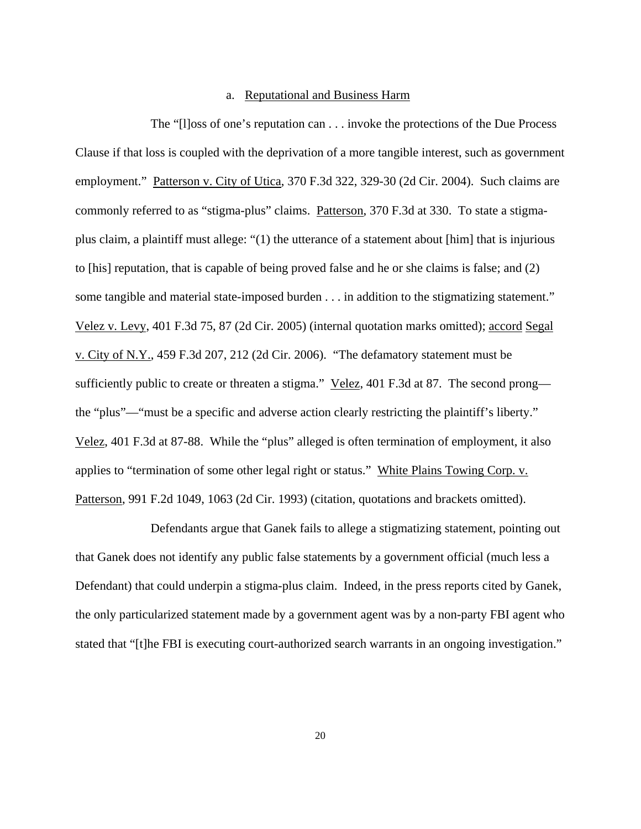# a. Reputational and Business Harm

 The "[l]oss of one's reputation can . . . invoke the protections of the Due Process Clause if that loss is coupled with the deprivation of a more tangible interest, such as government employment." Patterson v. City of Utica, 370 F.3d 322, 329-30 (2d Cir. 2004). Such claims are commonly referred to as "stigma-plus" claims. Patterson, 370 F.3d at 330. To state a stigmaplus claim, a plaintiff must allege: "(1) the utterance of a statement about [him] that is injurious to [his] reputation, that is capable of being proved false and he or she claims is false; and (2) some tangible and material state-imposed burden . . . in addition to the stigmatizing statement." Velez v. Levy, 401 F.3d 75, 87 (2d Cir. 2005) (internal quotation marks omitted); accord Segal v. City of N.Y., 459 F.3d 207, 212 (2d Cir. 2006). "The defamatory statement must be sufficiently public to create or threaten a stigma." Velez, 401 F.3d at 87. The second prong the "plus"—"must be a specific and adverse action clearly restricting the plaintiff's liberty." Velez, 401 F.3d at 87-88. While the "plus" alleged is often termination of employment, it also applies to "termination of some other legal right or status." White Plains Towing Corp. v. Patterson, 991 F.2d 1049, 1063 (2d Cir. 1993) (citation, quotations and brackets omitted).

 Defendants argue that Ganek fails to allege a stigmatizing statement, pointing out that Ganek does not identify any public false statements by a government official (much less a Defendant) that could underpin a stigma-plus claim. Indeed, in the press reports cited by Ganek, the only particularized statement made by a government agent was by a non-party FBI agent who stated that "[t]he FBI is executing court-authorized search warrants in an ongoing investigation."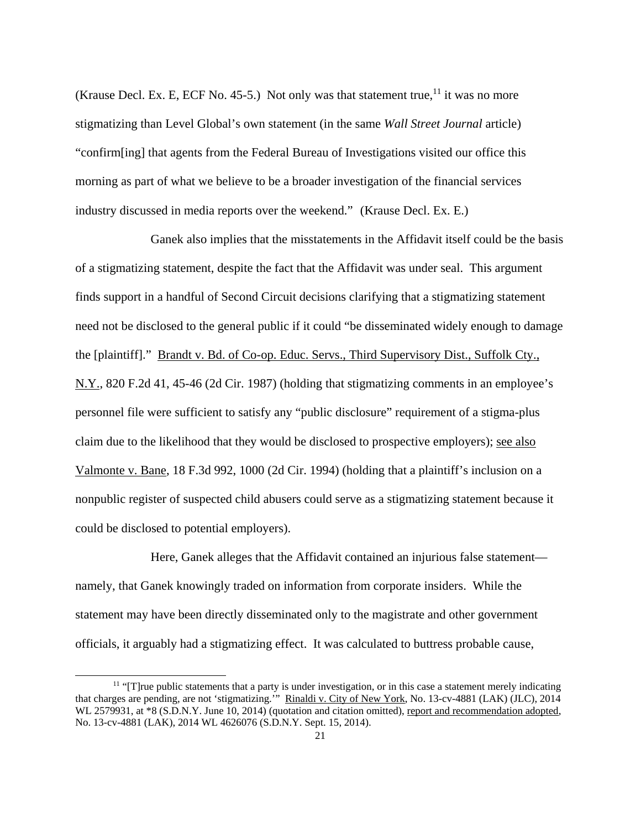(Krause Decl. Ex. E, ECF No. 45-5.) Not only was that statement true,  $11$  it was no more stigmatizing than Level Global's own statement (in the same *Wall Street Journal* article) "confirm[ing] that agents from the Federal Bureau of Investigations visited our office this morning as part of what we believe to be a broader investigation of the financial services industry discussed in media reports over the weekend." (Krause Decl. Ex. E.)

 Ganek also implies that the misstatements in the Affidavit itself could be the basis of a stigmatizing statement, despite the fact that the Affidavit was under seal. This argument finds support in a handful of Second Circuit decisions clarifying that a stigmatizing statement need not be disclosed to the general public if it could "be disseminated widely enough to damage the [plaintiff]." Brandt v. Bd. of Co-op. Educ. Servs., Third Supervisory Dist., Suffolk Cty., N.Y., 820 F.2d 41, 45-46 (2d Cir. 1987) (holding that stigmatizing comments in an employee's personnel file were sufficient to satisfy any "public disclosure" requirement of a stigma-plus claim due to the likelihood that they would be disclosed to prospective employers); see also Valmonte v. Bane, 18 F.3d 992, 1000 (2d Cir. 1994) (holding that a plaintiff's inclusion on a nonpublic register of suspected child abusers could serve as a stigmatizing statement because it could be disclosed to potential employers).

 Here, Ganek alleges that the Affidavit contained an injurious false statement namely, that Ganek knowingly traded on information from corporate insiders. While the statement may have been directly disseminated only to the magistrate and other government officials, it arguably had a stigmatizing effect. It was calculated to buttress probable cause,

 $11$  "[T]rue public statements that a party is under investigation, or in this case a statement merely indicating that charges are pending, are not 'stigmatizing.'" Rinaldi v. City of New York, No. 13-cv-4881 (LAK) (JLC), 2014 WL 2579931, at  $*8$  (S.D.N.Y. June 10, 2014) (quotation and citation omitted), report and recommendation adopted, No. 13-cv-4881 (LAK), 2014 WL 4626076 (S.D.N.Y. Sept. 15, 2014).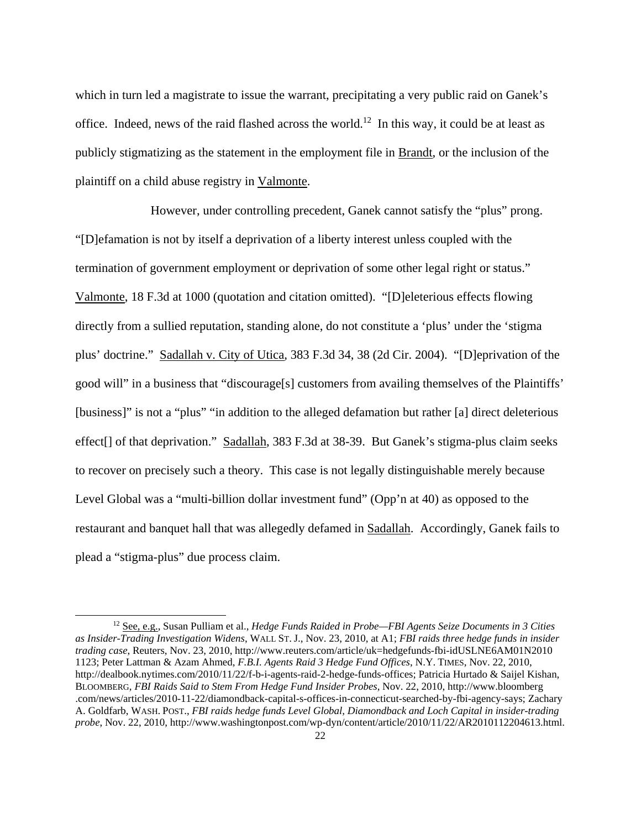which in turn led a magistrate to issue the warrant, precipitating a very public raid on Ganek's office. Indeed, news of the raid flashed across the world.<sup>12</sup> In this way, it could be at least as publicly stigmatizing as the statement in the employment file in Brandt, or the inclusion of the plaintiff on a child abuse registry in Valmonte.

 However, under controlling precedent, Ganek cannot satisfy the "plus" prong. "[D]efamation is not by itself a deprivation of a liberty interest unless coupled with the termination of government employment or deprivation of some other legal right or status." Valmonte, 18 F.3d at 1000 (quotation and citation omitted). "[D]eleterious effects flowing directly from a sullied reputation, standing alone, do not constitute a 'plus' under the 'stigma plus' doctrine." Sadallah v. City of Utica, 383 F.3d 34, 38 (2d Cir. 2004). "[D]eprivation of the good will" in a business that "discourage[s] customers from availing themselves of the Plaintiffs' [business]" is not a "plus" "in addition to the alleged defamation but rather [a] direct deleterious effect[] of that deprivation." Sadallah, 383 F.3d at 38-39. But Ganek's stigma-plus claim seeks to recover on precisely such a theory. This case is not legally distinguishable merely because Level Global was a "multi-billion dollar investment fund" (Opp'n at 40) as opposed to the restaurant and banquet hall that was allegedly defamed in Sadallah. Accordingly, Ganek fails to plead a "stigma-plus" due process claim.

<sup>12</sup> See, e.g., Susan Pulliam et al., *Hedge Funds Raided in Probe—FBI Agents Seize Documents in 3 Cities as Insider-Trading Investigation Widens*, WALL ST. J., Nov. 23, 2010, at A1; *FBI raids three hedge funds in insider trading case*, Reuters, Nov. 23, 2010, http://www.reuters.com/article/uk=hedgefunds-fbi-idUSLNE6AM01N2010 1123; Peter Lattman & Azam Ahmed, *F.B.I. Agents Raid 3 Hedge Fund Offices*, N.Y. TIMES, Nov. 22, 2010, http://dealbook.nytimes.com/2010/11/22/f-b-i-agents-raid-2-hedge-funds-offices; Patricia Hurtado & Saijel Kishan, BLOOMBERG, *FBI Raids Said to Stem From Hedge Fund Insider Probes*, Nov. 22, 2010, http://www.bloomberg .com/news/articles/2010-11-22/diamondback-capital-s-offices-in-connecticut-searched-by-fbi-agency-says; Zachary A. Goldfarb, WASH. POST., *FBI raids hedge funds Level Global, Diamondback and Loch Capital in insider-trading probe*, Nov. 22, 2010, http://www.washingtonpost.com/wp-dyn/content/article/2010/11/22/AR2010112204613.html.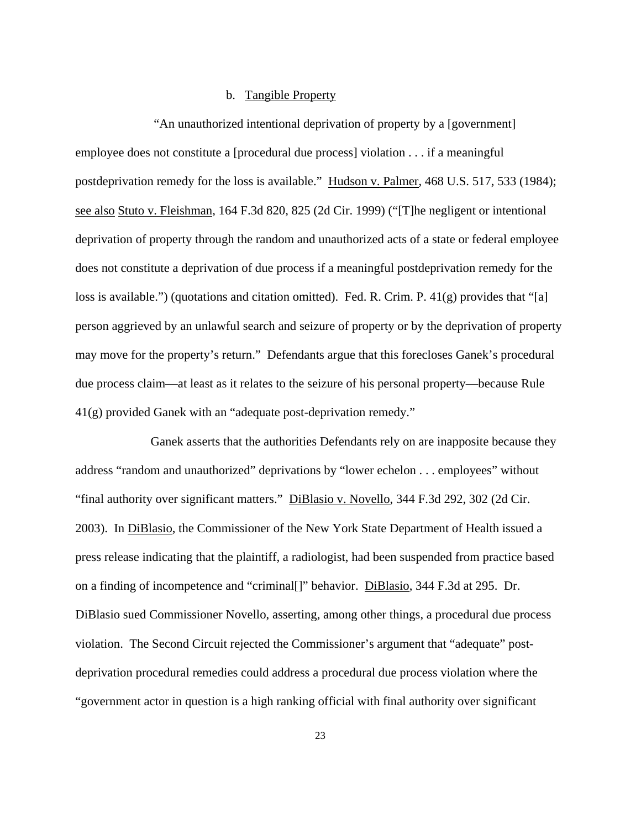# b. Tangible Property

 "An unauthorized intentional deprivation of property by a [government] employee does not constitute a [procedural due process] violation . . . if a meaningful postdeprivation remedy for the loss is available." Hudson v. Palmer, 468 U.S. 517, 533 (1984); see also Stuto v. Fleishman, 164 F.3d 820, 825 (2d Cir. 1999) ("[T]he negligent or intentional deprivation of property through the random and unauthorized acts of a state or federal employee does not constitute a deprivation of due process if a meaningful postdeprivation remedy for the loss is available.") (quotations and citation omitted). Fed. R. Crim. P. 41(g) provides that "[a] person aggrieved by an unlawful search and seizure of property or by the deprivation of property may move for the property's return." Defendants argue that this forecloses Ganek's procedural due process claim—at least as it relates to the seizure of his personal property—because Rule 41(g) provided Ganek with an "adequate post-deprivation remedy."

 Ganek asserts that the authorities Defendants rely on are inapposite because they address "random and unauthorized" deprivations by "lower echelon . . . employees" without "final authority over significant matters." DiBlasio v. Novello, 344 F.3d 292, 302 (2d Cir. 2003). In DiBlasio, the Commissioner of the New York State Department of Health issued a press release indicating that the plaintiff, a radiologist, had been suspended from practice based on a finding of incompetence and "criminal[]" behavior. DiBlasio, 344 F.3d at 295. Dr. DiBlasio sued Commissioner Novello, asserting, among other things, a procedural due process violation. The Second Circuit rejected the Commissioner's argument that "adequate" postdeprivation procedural remedies could address a procedural due process violation where the "government actor in question is a high ranking official with final authority over significant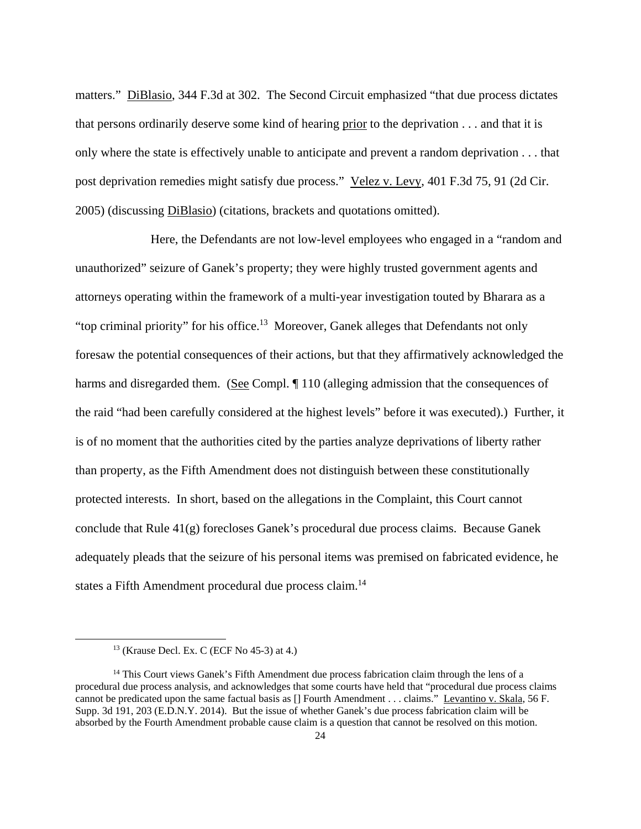matters." DiBlasio, 344 F.3d at 302. The Second Circuit emphasized "that due process dictates" that persons ordinarily deserve some kind of hearing prior to the deprivation . . . and that it is only where the state is effectively unable to anticipate and prevent a random deprivation . . . that post deprivation remedies might satisfy due process." Velez v. Levy, 401 F.3d 75, 91 (2d Cir. 2005) (discussing DiBlasio) (citations, brackets and quotations omitted).

 Here, the Defendants are not low-level employees who engaged in a "random and unauthorized" seizure of Ganek's property; they were highly trusted government agents and attorneys operating within the framework of a multi-year investigation touted by Bharara as a "top criminal priority" for his office.<sup>13</sup> Moreover, Ganek alleges that Defendants not only foresaw the potential consequences of their actions, but that they affirmatively acknowledged the harms and disregarded them. (See Compl. ¶ 110 (alleging admission that the consequences of the raid "had been carefully considered at the highest levels" before it was executed).) Further, it is of no moment that the authorities cited by the parties analyze deprivations of liberty rather than property, as the Fifth Amendment does not distinguish between these constitutionally protected interests. In short, based on the allegations in the Complaint, this Court cannot conclude that Rule  $41(g)$  forecloses Ganek's procedural due process claims. Because Ganek adequately pleads that the seizure of his personal items was premised on fabricated evidence, he states a Fifth Amendment procedural due process claim.<sup>14</sup>

 $13$  (Krause Decl. Ex. C (ECF No 45-3) at 4.)

<sup>&</sup>lt;sup>14</sup> This Court views Ganek's Fifth Amendment due process fabrication claim through the lens of a procedural due process analysis, and acknowledges that some courts have held that "procedural due process claims cannot be predicated upon the same factual basis as [] Fourth Amendment . . . claims." Levantino v. Skala, 56 F. Supp. 3d 191, 203 (E.D.N.Y. 2014). But the issue of whether Ganek's due process fabrication claim will be absorbed by the Fourth Amendment probable cause claim is a question that cannot be resolved on this motion.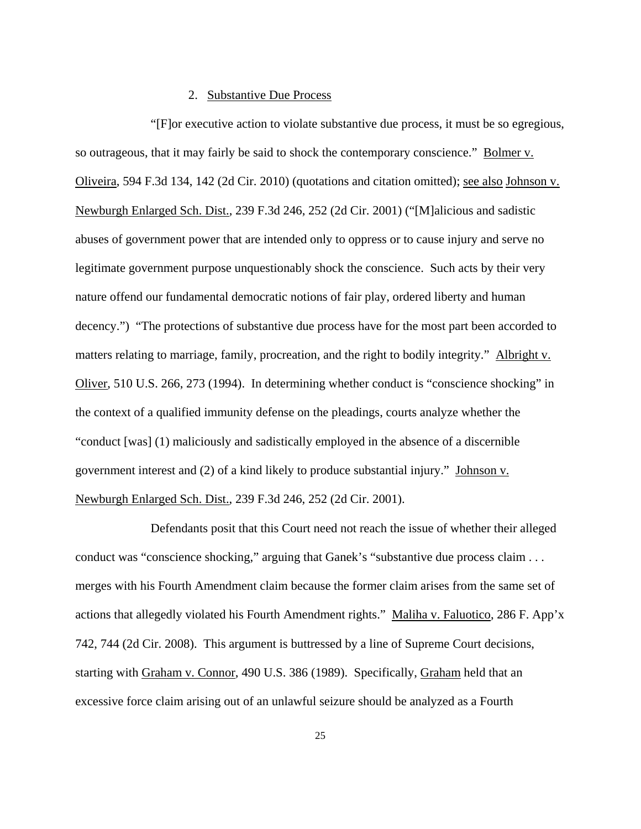# 2. Substantive Due Process

 "[F]or executive action to violate substantive due process, it must be so egregious, so outrageous, that it may fairly be said to shock the contemporary conscience." Bolmer v. Oliveira, 594 F.3d 134, 142 (2d Cir. 2010) (quotations and citation omitted); see also Johnson v. Newburgh Enlarged Sch. Dist., 239 F.3d 246, 252 (2d Cir. 2001) ("[M]alicious and sadistic abuses of government power that are intended only to oppress or to cause injury and serve no legitimate government purpose unquestionably shock the conscience. Such acts by their very nature offend our fundamental democratic notions of fair play, ordered liberty and human decency.") "The protections of substantive due process have for the most part been accorded to matters relating to marriage, family, procreation, and the right to bodily integrity." Albright v. Oliver, 510 U.S. 266, 273 (1994). In determining whether conduct is "conscience shocking" in the context of a qualified immunity defense on the pleadings, courts analyze whether the "conduct [was] (1) maliciously and sadistically employed in the absence of a discernible government interest and (2) of a kind likely to produce substantial injury." Johnson v. Newburgh Enlarged Sch. Dist., 239 F.3d 246, 252 (2d Cir. 2001).

 Defendants posit that this Court need not reach the issue of whether their alleged conduct was "conscience shocking," arguing that Ganek's "substantive due process claim . . . merges with his Fourth Amendment claim because the former claim arises from the same set of actions that allegedly violated his Fourth Amendment rights." Maliha v. Faluotico, 286 F. App'x 742, 744 (2d Cir. 2008). This argument is buttressed by a line of Supreme Court decisions, starting with Graham v. Connor, 490 U.S. 386 (1989). Specifically, Graham held that an excessive force claim arising out of an unlawful seizure should be analyzed as a Fourth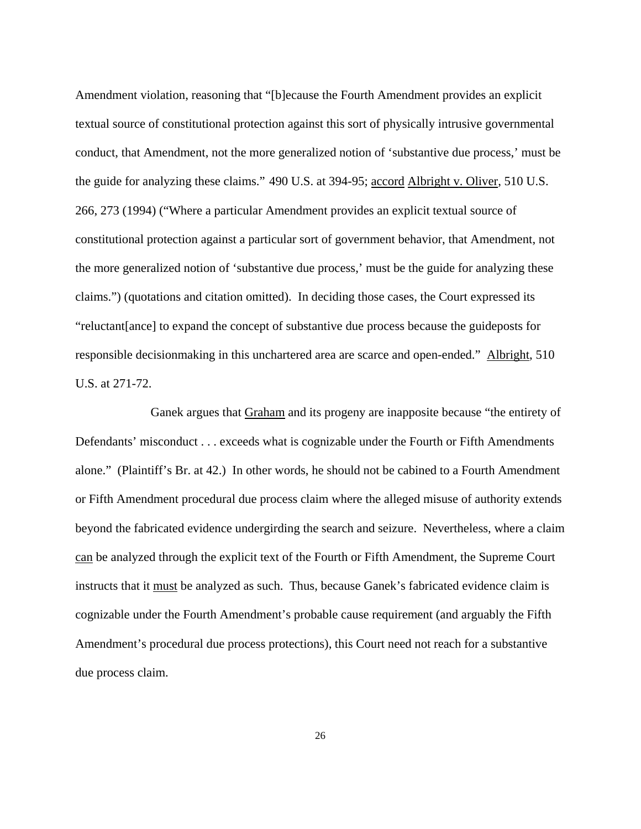Amendment violation, reasoning that "[b]ecause the Fourth Amendment provides an explicit textual source of constitutional protection against this sort of physically intrusive governmental conduct, that Amendment, not the more generalized notion of 'substantive due process,' must be the guide for analyzing these claims." 490 U.S. at 394-95; accord Albright v. Oliver, 510 U.S. 266, 273 (1994) ("Where a particular Amendment provides an explicit textual source of constitutional protection against a particular sort of government behavior, that Amendment, not the more generalized notion of 'substantive due process,' must be the guide for analyzing these claims.") (quotations and citation omitted). In deciding those cases, the Court expressed its "reluctant[ance] to expand the concept of substantive due process because the guideposts for responsible decisionmaking in this unchartered area are scarce and open-ended." Albright, 510 U.S. at 271-72.

 Ganek argues that Graham and its progeny are inapposite because "the entirety of Defendants' misconduct . . . exceeds what is cognizable under the Fourth or Fifth Amendments alone." (Plaintiff's Br. at 42.) In other words, he should not be cabined to a Fourth Amendment or Fifth Amendment procedural due process claim where the alleged misuse of authority extends beyond the fabricated evidence undergirding the search and seizure. Nevertheless, where a claim can be analyzed through the explicit text of the Fourth or Fifth Amendment, the Supreme Court instructs that it must be analyzed as such. Thus, because Ganek's fabricated evidence claim is cognizable under the Fourth Amendment's probable cause requirement (and arguably the Fifth Amendment's procedural due process protections), this Court need not reach for a substantive due process claim.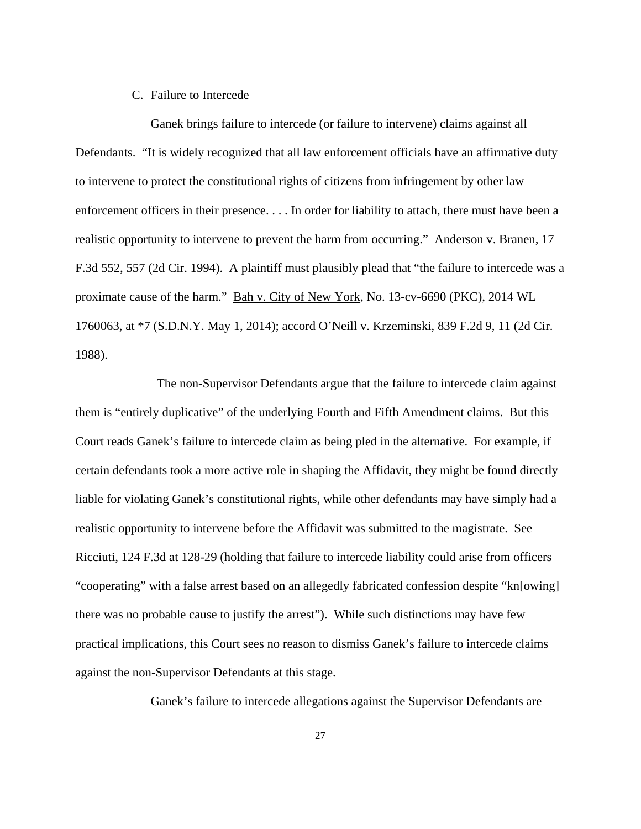# C. Failure to Intercede

 Ganek brings failure to intercede (or failure to intervene) claims against all Defendants. "It is widely recognized that all law enforcement officials have an affirmative duty to intervene to protect the constitutional rights of citizens from infringement by other law enforcement officers in their presence. . . . In order for liability to attach, there must have been a realistic opportunity to intervene to prevent the harm from occurring." Anderson v. Branen, 17 F.3d 552, 557 (2d Cir. 1994). A plaintiff must plausibly plead that "the failure to intercede was a proximate cause of the harm." Bah v. City of New York, No. 13-cv-6690 (PKC), 2014 WL 1760063, at \*7 (S.D.N.Y. May 1, 2014); accord O'Neill v. Krzeminski, 839 F.2d 9, 11 (2d Cir. 1988).

 The non-Supervisor Defendants argue that the failure to intercede claim against them is "entirely duplicative" of the underlying Fourth and Fifth Amendment claims. But this Court reads Ganek's failure to intercede claim as being pled in the alternative. For example, if certain defendants took a more active role in shaping the Affidavit, they might be found directly liable for violating Ganek's constitutional rights, while other defendants may have simply had a realistic opportunity to intervene before the Affidavit was submitted to the magistrate. See Ricciuti, 124 F.3d at 128-29 (holding that failure to intercede liability could arise from officers "cooperating" with a false arrest based on an allegedly fabricated confession despite "kn[owing] there was no probable cause to justify the arrest"). While such distinctions may have few practical implications, this Court sees no reason to dismiss Ganek's failure to intercede claims against the non-Supervisor Defendants at this stage.

Ganek's failure to intercede allegations against the Supervisor Defendants are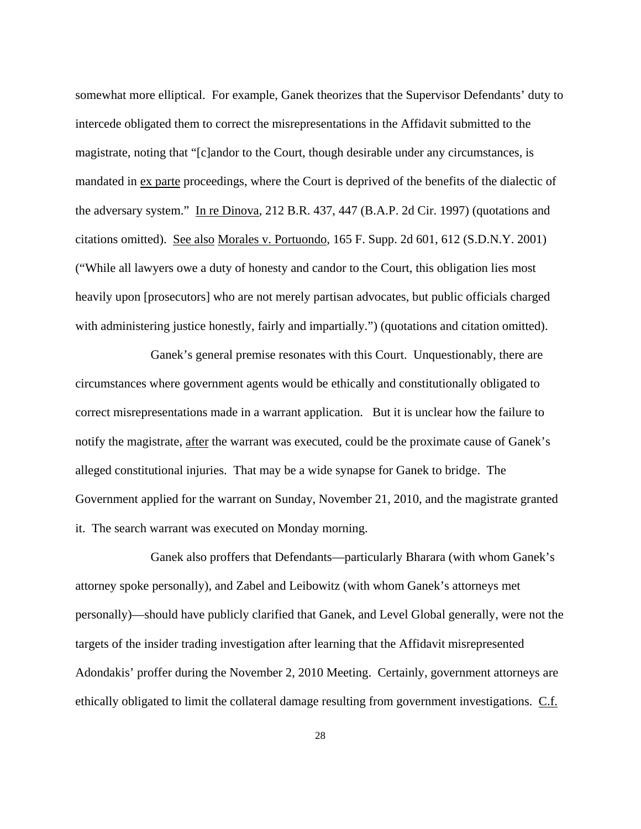somewhat more elliptical. For example, Ganek theorizes that the Supervisor Defendants' duty to intercede obligated them to correct the misrepresentations in the Affidavit submitted to the magistrate, noting that "[c]andor to the Court, though desirable under any circumstances, is mandated in ex parte proceedings, where the Court is deprived of the benefits of the dialectic of the adversary system." In re Dinova, 212 B.R. 437, 447 (B.A.P. 2d Cir. 1997) (quotations and citations omitted). See also Morales v. Portuondo, 165 F. Supp. 2d 601, 612 (S.D.N.Y. 2001) ("While all lawyers owe a duty of honesty and candor to the Court, this obligation lies most heavily upon [prosecutors] who are not merely partisan advocates, but public officials charged with administering justice honestly, fairly and impartially.") (quotations and citation omitted).

 Ganek's general premise resonates with this Court. Unquestionably, there are circumstances where government agents would be ethically and constitutionally obligated to correct misrepresentations made in a warrant application. But it is unclear how the failure to notify the magistrate, after the warrant was executed, could be the proximate cause of Ganek's alleged constitutional injuries. That may be a wide synapse for Ganek to bridge. The Government applied for the warrant on Sunday, November 21, 2010, and the magistrate granted it. The search warrant was executed on Monday morning.

 Ganek also proffers that Defendants—particularly Bharara (with whom Ganek's attorney spoke personally), and Zabel and Leibowitz (with whom Ganek's attorneys met personally)—should have publicly clarified that Ganek, and Level Global generally, were not the targets of the insider trading investigation after learning that the Affidavit misrepresented Adondakis' proffer during the November 2, 2010 Meeting. Certainly, government attorneys are ethically obligated to limit the collateral damage resulting from government investigations. C.f.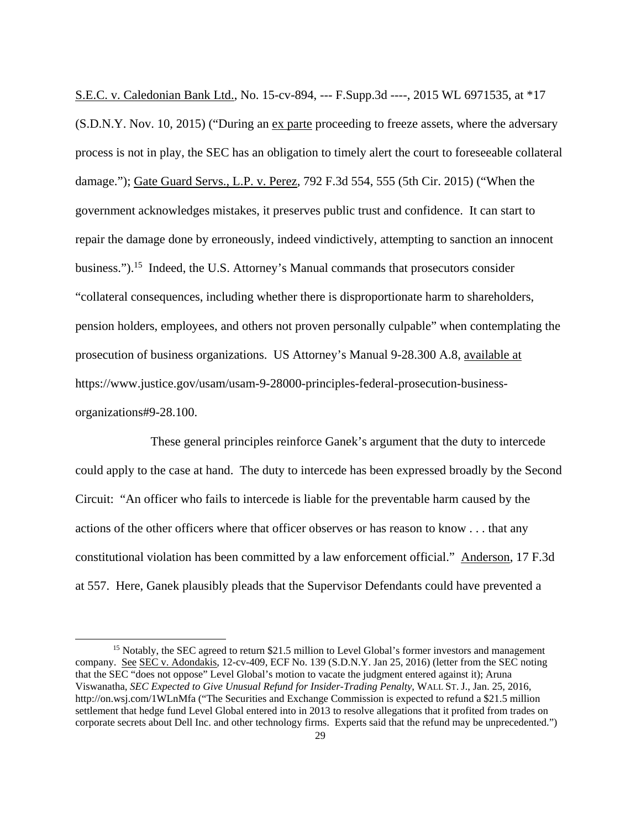S.E.C. v. Caledonian Bank Ltd., No. 15-cv-894, --- F.Supp.3d ----, 2015 WL 6971535, at \*17 (S.D.N.Y. Nov. 10, 2015) ("During an ex parte proceeding to freeze assets, where the adversary process is not in play, the SEC has an obligation to timely alert the court to foreseeable collateral damage."); Gate Guard Servs., L.P. v. Perez, 792 F.3d 554, 555 (5th Cir. 2015) ("When the government acknowledges mistakes, it preserves public trust and confidence. It can start to repair the damage done by erroneously, indeed vindictively, attempting to sanction an innocent business.").<sup>15</sup> Indeed, the U.S. Attorney's Manual commands that prosecutors consider "collateral consequences, including whether there is disproportionate harm to shareholders, pension holders, employees, and others not proven personally culpable" when contemplating the prosecution of business organizations. US Attorney's Manual 9-28.300 A.8, available at https://www.justice.gov/usam/usam-9-28000-principles-federal-prosecution-businessorganizations#9-28.100.

 These general principles reinforce Ganek's argument that the duty to intercede could apply to the case at hand. The duty to intercede has been expressed broadly by the Second Circuit: "An officer who fails to intercede is liable for the preventable harm caused by the actions of the other officers where that officer observes or has reason to know . . . that any constitutional violation has been committed by a law enforcement official." Anderson, 17 F.3d at 557. Here, Ganek plausibly pleads that the Supervisor Defendants could have prevented a

<sup>&</sup>lt;sup>15</sup> Notably, the SEC agreed to return \$21.5 million to Level Global's former investors and management company. See SEC v. Adondakis, 12-cv-409, ECF No. 139 (S.D.N.Y. Jan 25, 2016) (letter from the SEC noting that the SEC "does not oppose" Level Global's motion to vacate the judgment entered against it); Aruna Viswanatha, *SEC Expected to Give Unusual Refund for Insider-Trading Penalty*, WALL ST. J., Jan. 25, 2016, http://on.wsj.com/1WLnMfa ("The Securities and Exchange Commission is expected to refund a \$21.5 million settlement that hedge fund Level Global entered into in 2013 to resolve allegations that it profited from trades on corporate secrets about Dell Inc. and other technology firms. Experts said that the refund may be unprecedented.")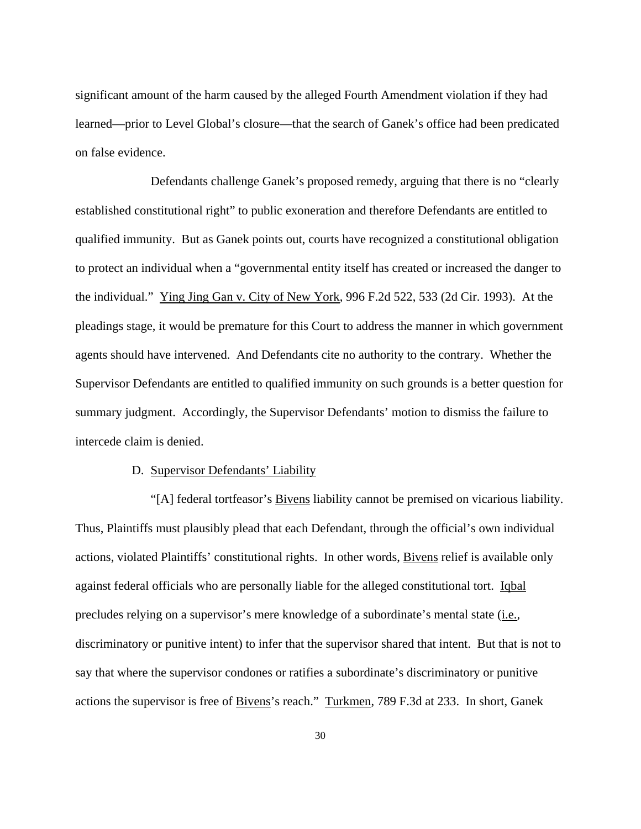significant amount of the harm caused by the alleged Fourth Amendment violation if they had learned—prior to Level Global's closure—that the search of Ganek's office had been predicated on false evidence.

 Defendants challenge Ganek's proposed remedy, arguing that there is no "clearly established constitutional right" to public exoneration and therefore Defendants are entitled to qualified immunity. But as Ganek points out, courts have recognized a constitutional obligation to protect an individual when a "governmental entity itself has created or increased the danger to the individual." Ying Jing Gan v. City of New York, 996 F.2d 522, 533 (2d Cir. 1993). At the pleadings stage, it would be premature for this Court to address the manner in which government agents should have intervened. And Defendants cite no authority to the contrary. Whether the Supervisor Defendants are entitled to qualified immunity on such grounds is a better question for summary judgment. Accordingly, the Supervisor Defendants' motion to dismiss the failure to intercede claim is denied.

### D. Supervisor Defendants' Liability

 "[A] federal tortfeasor's Bivens liability cannot be premised on vicarious liability. Thus, Plaintiffs must plausibly plead that each Defendant, through the official's own individual actions, violated Plaintiffs' constitutional rights. In other words, Bivens relief is available only against federal officials who are personally liable for the alleged constitutional tort. Iqbal precludes relying on a supervisor's mere knowledge of a subordinate's mental state (i.e.*,* discriminatory or punitive intent) to infer that the supervisor shared that intent. But that is not to say that where the supervisor condones or ratifies a subordinate's discriminatory or punitive actions the supervisor is free of Bivens's reach." Turkmen, 789 F.3d at 233. In short, Ganek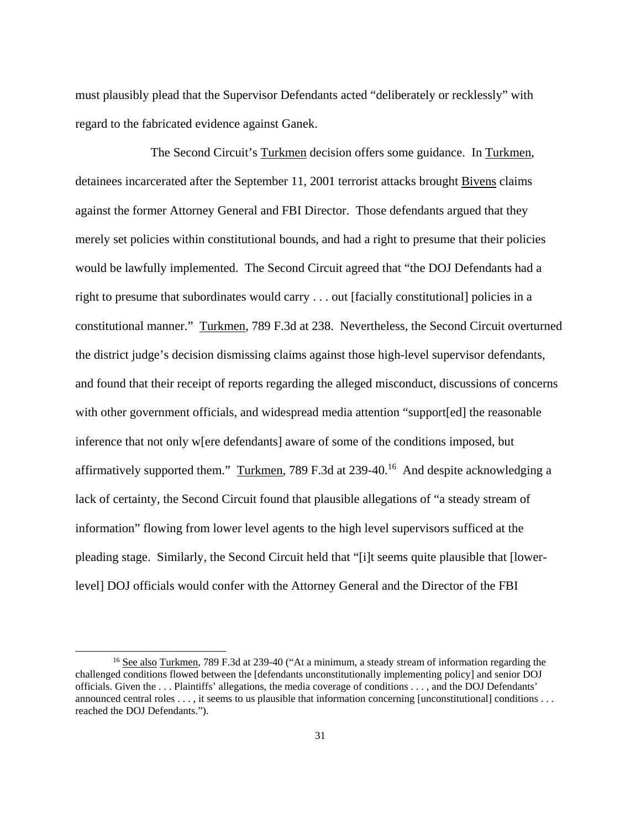must plausibly plead that the Supervisor Defendants acted "deliberately or recklessly" with regard to the fabricated evidence against Ganek.

 The Second Circuit's Turkmen decision offers some guidance. In Turkmen, detainees incarcerated after the September 11, 2001 terrorist attacks brought Bivens claims against the former Attorney General and FBI Director. Those defendants argued that they merely set policies within constitutional bounds, and had a right to presume that their policies would be lawfully implemented. The Second Circuit agreed that "the DOJ Defendants had a right to presume that subordinates would carry . . . out [facially constitutional] policies in a constitutional manner." Turkmen, 789 F.3d at 238. Nevertheless, the Second Circuit overturned the district judge's decision dismissing claims against those high-level supervisor defendants, and found that their receipt of reports regarding the alleged misconduct, discussions of concerns with other government officials, and widespread media attention "support[ed] the reasonable inference that not only w[ere defendants] aware of some of the conditions imposed, but affirmatively supported them." Turkmen, 789 F.3d at 239-40.<sup>16</sup> And despite acknowledging a lack of certainty, the Second Circuit found that plausible allegations of "a steady stream of information" flowing from lower level agents to the high level supervisors sufficed at the pleading stage. Similarly, the Second Circuit held that "[i]t seems quite plausible that [lowerlevel] DOJ officials would confer with the Attorney General and the Director of the FBI

<sup>&</sup>lt;sup>16</sup> See also Turkmen, 789 F.3d at 239-40 ("At a minimum, a steady stream of information regarding the challenged conditions flowed between the [defendants unconstitutionally implementing policy] and senior DOJ officials. Given the . . . Plaintiffs' allegations, the media coverage of conditions . . . , and the DOJ Defendants' announced central roles . . . , it seems to us plausible that information concerning [unconstitutional] conditions . . . reached the DOJ Defendants.").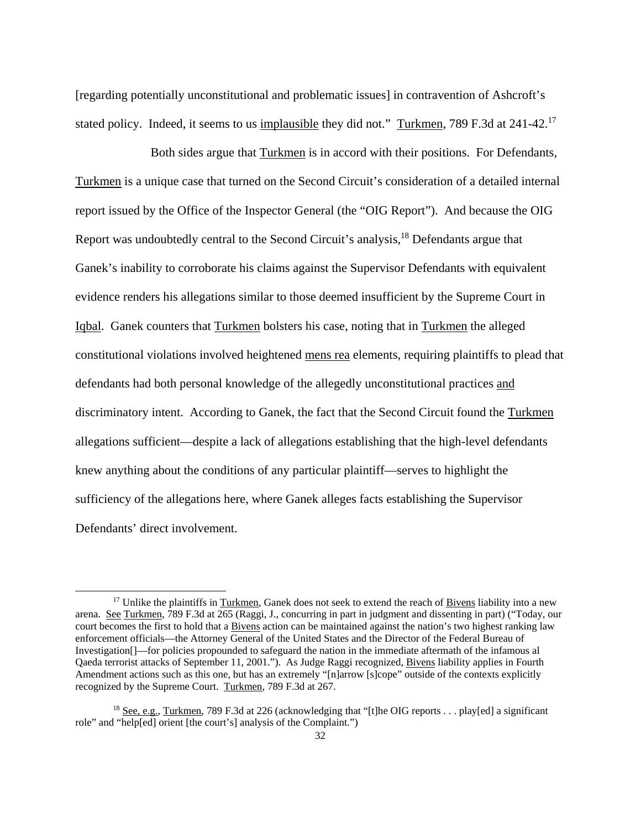[regarding potentially unconstitutional and problematic issues] in contravention of Ashcroft's stated policy. Indeed, it seems to us implausible they did not." Turkmen, 789 F.3d at 241-42.<sup>17</sup>

 Both sides argue that Turkmen is in accord with their positions. For Defendants, Turkmen is a unique case that turned on the Second Circuit's consideration of a detailed internal report issued by the Office of the Inspector General (the "OIG Report"). And because the OIG Report was undoubtedly central to the Second Circuit's analysis,<sup>18</sup> Defendants argue that Ganek's inability to corroborate his claims against the Supervisor Defendants with equivalent evidence renders his allegations similar to those deemed insufficient by the Supreme Court in Iqbal. Ganek counters that Turkmen bolsters his case, noting that in Turkmen the alleged constitutional violations involved heightened mens rea elements, requiring plaintiffs to plead that defendants had both personal knowledge of the allegedly unconstitutional practices and discriminatory intent. According to Ganek, the fact that the Second Circuit found the Turkmen allegations sufficient—despite a lack of allegations establishing that the high-level defendants knew anything about the conditions of any particular plaintiff—serves to highlight the sufficiency of the allegations here, where Ganek alleges facts establishing the Supervisor Defendants' direct involvement.

<sup>&</sup>lt;sup>17</sup> Unlike the plaintiffs in Turkmen, Ganek does not seek to extend the reach of Bivens liability into a new arena. See Turkmen, 789 F.3d at 265 (Raggi, J., concurring in part in judgment and dissenting in part) ("Today, our court becomes the first to hold that a Bivens action can be maintained against the nation's two highest ranking law enforcement officials—the Attorney General of the United States and the Director of the Federal Bureau of Investigation[]—for policies propounded to safeguard the nation in the immediate aftermath of the infamous al Qaeda terrorist attacks of September 11, 2001."). As Judge Raggi recognized, Bivens liability applies in Fourth Amendment actions such as this one, but has an extremely "[n]arrow [s]cope" outside of the contexts explicitly recognized by the Supreme Court. Turkmen, 789 F.3d at 267.

<sup>&</sup>lt;sup>18</sup> See, e.g., Turkmen, 789 F.3d at 226 (acknowledging that "[t]he OIG reports . . . play[ed] a significant role" and "help[ed] orient [the court's] analysis of the Complaint.")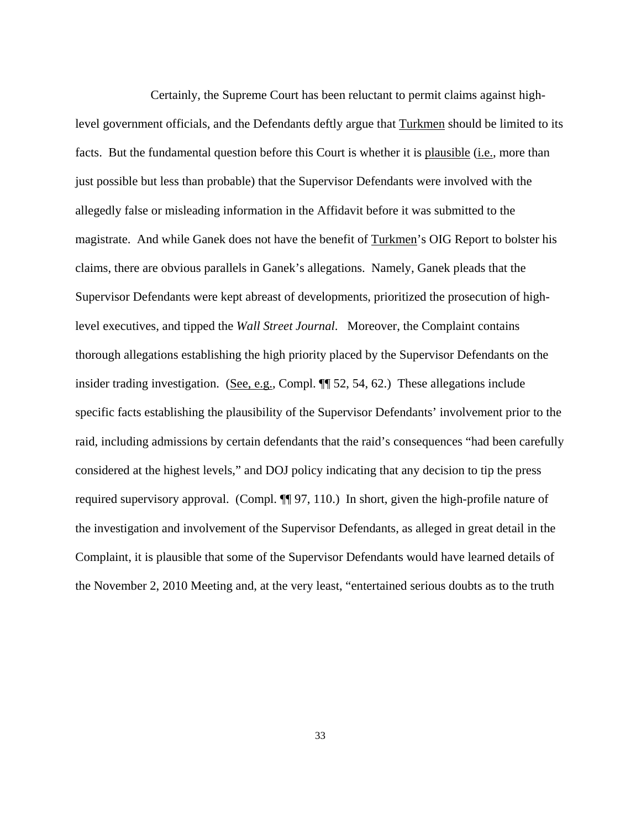Certainly, the Supreme Court has been reluctant to permit claims against highlevel government officials, and the Defendants deftly argue that Turkmen should be limited to its facts. But the fundamental question before this Court is whether it is plausible (i.e., more than just possible but less than probable) that the Supervisor Defendants were involved with the allegedly false or misleading information in the Affidavit before it was submitted to the magistrate. And while Ganek does not have the benefit of Turkmen's OIG Report to bolster his claims, there are obvious parallels in Ganek's allegations. Namely, Ganek pleads that the Supervisor Defendants were kept abreast of developments, prioritized the prosecution of highlevel executives, and tipped the *Wall Street Journal*. Moreover, the Complaint contains thorough allegations establishing the high priority placed by the Supervisor Defendants on the insider trading investigation. (See, e.g., Compl.  $\P$  52, 54, 62.) These allegations include specific facts establishing the plausibility of the Supervisor Defendants' involvement prior to the raid, including admissions by certain defendants that the raid's consequences "had been carefully considered at the highest levels," and DOJ policy indicating that any decision to tip the press required supervisory approval. (Compl. ¶¶ 97, 110.) In short, given the high-profile nature of the investigation and involvement of the Supervisor Defendants, as alleged in great detail in the Complaint, it is plausible that some of the Supervisor Defendants would have learned details of the November 2, 2010 Meeting and, at the very least, "entertained serious doubts as to the truth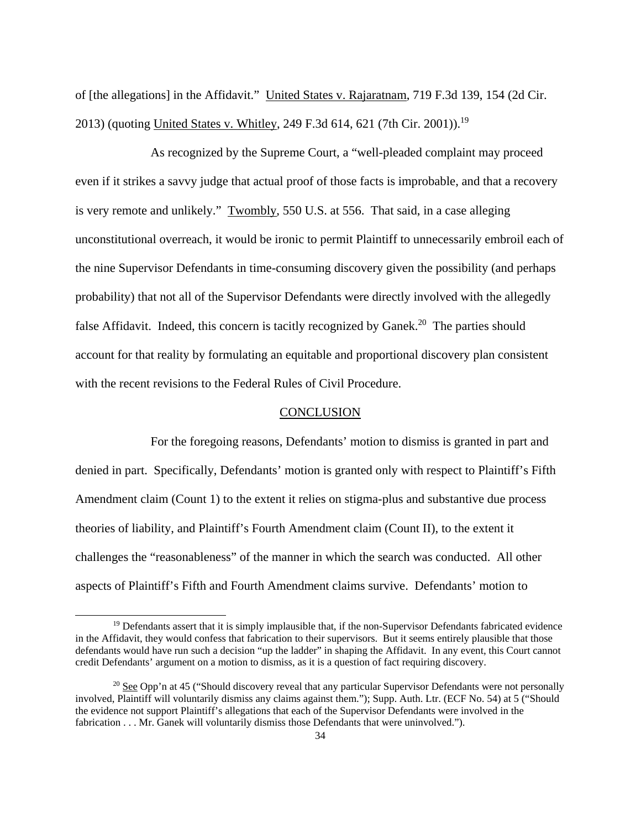of [the allegations] in the Affidavit." United States v. Rajaratnam, 719 F.3d 139, 154 (2d Cir. 2013) (quoting United States v. Whitley, 249 F.3d 614, 621 (7th Cir. 2001)).<sup>19</sup>

As recognized by the Supreme Court, a "well-pleaded complaint may proceed even if it strikes a savvy judge that actual proof of those facts is improbable, and that a recovery is very remote and unlikely." Twombly, 550 U.S. at 556. That said, in a case alleging unconstitutional overreach, it would be ironic to permit Plaintiff to unnecessarily embroil each of the nine Supervisor Defendants in time-consuming discovery given the possibility (and perhaps probability) that not all of the Supervisor Defendants were directly involved with the allegedly false Affidavit. Indeed, this concern is tacitly recognized by Ganek.<sup>20</sup> The parties should account for that reality by formulating an equitable and proportional discovery plan consistent with the recent revisions to the Federal Rules of Civil Procedure.

#### **CONCLUSION**

For the foregoing reasons, Defendants' motion to dismiss is granted in part and denied in part. Specifically, Defendants' motion is granted only with respect to Plaintiff's Fifth Amendment claim (Count 1) to the extent it relies on stigma-plus and substantive due process theories of liability, and Plaintiff's Fourth Amendment claim (Count II), to the extent it challenges the "reasonableness" of the manner in which the search was conducted. All other aspects of Plaintiff's Fifth and Fourth Amendment claims survive. Defendants' motion to

-

<sup>&</sup>lt;sup>19</sup> Defendants assert that it is simply implausible that, if the non-Supervisor Defendants fabricated evidence in the Affidavit, they would confess that fabrication to their supervisors. But it seems entirely plausible that those defendants would have run such a decision "up the ladder" in shaping the Affidavit. In any event, this Court cannot credit Defendants' argument on a motion to dismiss, as it is a question of fact requiring discovery.

<sup>&</sup>lt;sup>20</sup> See Opp'n at 45 ("Should discovery reveal that any particular Supervisor Defendants were not personally involved, Plaintiff will voluntarily dismiss any claims against them."); Supp. Auth. Ltr. (ECF No. 54) at 5 ("Should the evidence not support Plaintiff's allegations that each of the Supervisor Defendants were involved in the fabrication . . . Mr. Ganek will voluntarily dismiss those Defendants that were uninvolved.").